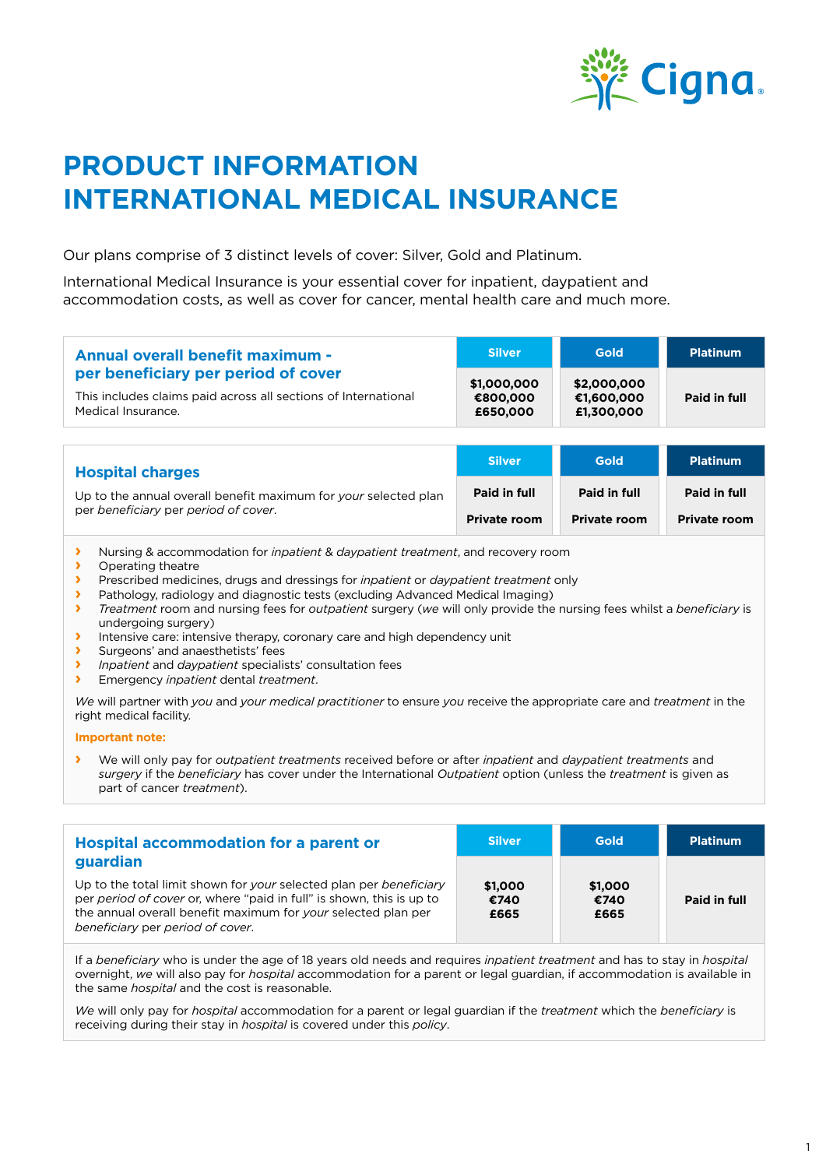

# **PRODUCT INFORMATION INTERNATIONAL MEDICAL INSURANCE**

Our plans comprise of 3 distinct levels of cover: Silver, Gold and Platinum.

International Medical Insurance is your essential cover for inpatient, daypatient and accommodation costs, as well as cover for cancer, mental health care and much more.

| <b>Annual overall benefit maximum -</b>                                              | <b>Silver</b>        | <b>Gold</b>              | <b>Platinum</b> |
|--------------------------------------------------------------------------------------|----------------------|--------------------------|-----------------|
| per beneficiary per period of cover                                                  | \$1,000,000          | \$2,000,000              |                 |
| This includes claims paid across all sections of International<br>Medical Insurance. | €800,000<br>£650,000 | €1.600.000<br>£1,300,000 | Paid in full    |

| <b>Hospital charges</b>                                                                                 | <b>Silver</b>       | <b>Gold</b>         | <b>Platinum</b>     |
|---------------------------------------------------------------------------------------------------------|---------------------|---------------------|---------------------|
| Up to the annual overall benefit maximum for your selected plan<br>per beneficiary per period of cover. | Paid in full        | Paid in full        | Paid in full        |
|                                                                                                         | <b>Private room</b> | <b>Private room</b> | <b>Private room</b> |

- **›** Nursing & accommodation for *inpatient* & *daypatient treatment*, and recovery room
- **›** Operating theatre<br> **›** Prescribed medici
- **›** Prescribed medicines, drugs and dressings for *inpatient* or *daypatient treatment* only
- **›** Pathology, radiology and diagnostic tests (excluding Advanced Medical Imaging)<br>Treatment room and pursing fees for *outpatient surgery (we will only provide the*
- **›** *Treatment* room and nursing fees for *outpatient* surgery (*we* will only provide the nursing fees whilst a *beneficiary* is undergoing surgery)
- **I** Intensive care: intensive therapy, coronary care and high dependency unit<br>
Surgeons' and anaesthetists' fees
- **›** Surgeons' and anaesthetists' fees
- **›** *Inpatient* and *daypatient* specialists' consultation fees
- **›** Emergency *inpatient* dental *treatment*.

*We* will partner with *you* and *your medical practitioner* to ensure *you* receive the appropriate care and *treatment* in the right medical facility.

#### **Important note:**

**›** We will only pay for *outpatient treatments* received before or after *inpatient* and *daypatient treatments* and *surgery* if the *beneficiary* has cover under the International *Outpatient* option (unless the *treatment* is given as part of cancer *treatment*).

| <b>Hospital accommodation for a parent or</b>                                                                                                                                                                                                               | <b>Silver</b>           | Gold                    | <b>Platinum</b> |
|-------------------------------------------------------------------------------------------------------------------------------------------------------------------------------------------------------------------------------------------------------------|-------------------------|-------------------------|-----------------|
| guardian<br>Up to the total limit shown for your selected plan per beneficiary<br>per period of cover or, where "paid in full" is shown, this is up to<br>the annual overall benefit maximum for your selected plan per<br>beneficiary per period of cover. | \$1,000<br>€740<br>£665 | \$1,000<br>€740<br>£665 | Paid in full    |

If a *beneficiary* who is under the age of 18 years old needs and requires *inpatient treatment* and has to stay in *hospital* overnight, *we* will also pay for *hospital* accommodation for a parent or legal guardian, if accommodation is available in the same *hospital* and the cost is reasonable.

*We* will only pay for *hospital* accommodation for a parent or legal guardian if the *treatment* which the *beneficiary* is receiving during their stay in *hospital* is covered under this *policy*.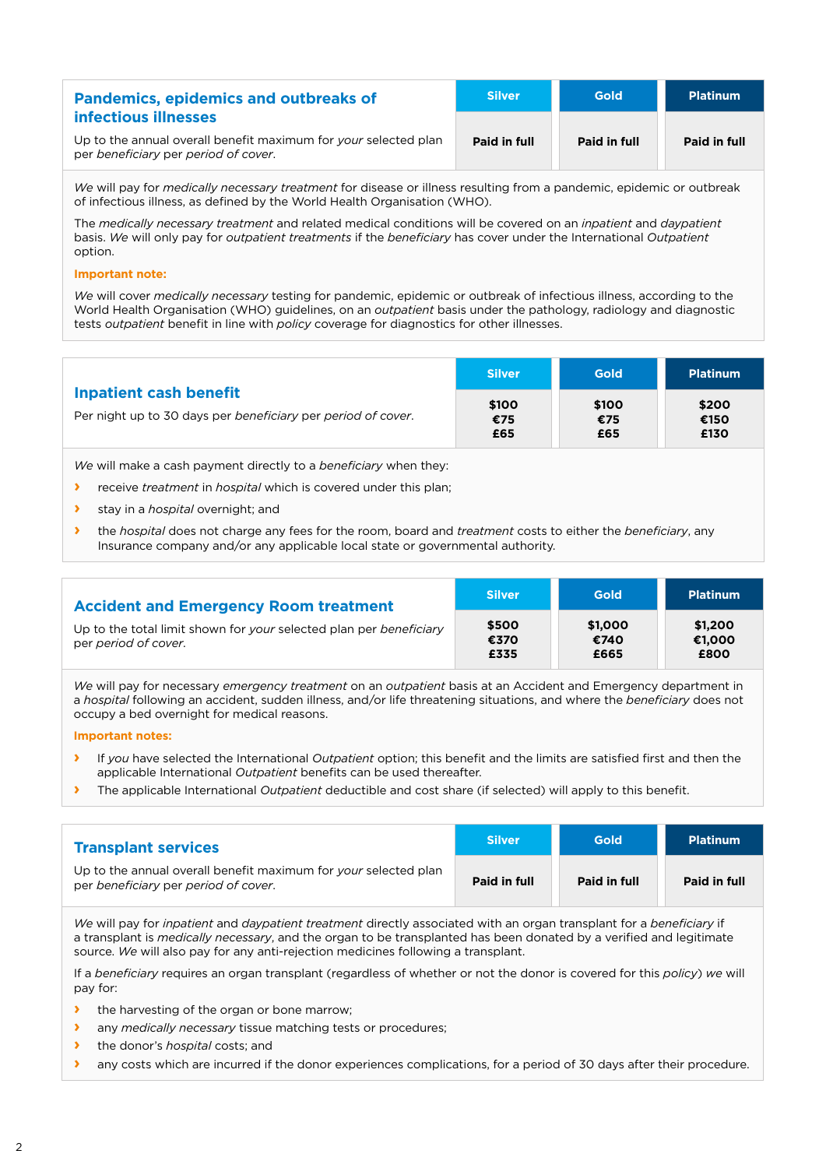| <b>Pandemics, epidemics and outbreaks of</b>                                                            | <b>Silver</b> | <b>Gold</b>  | <b>Platinum</b> |
|---------------------------------------------------------------------------------------------------------|---------------|--------------|-----------------|
| infectious illnesses                                                                                    |               |              |                 |
| Up to the annual overall benefit maximum for your selected plan<br>per beneficiary per period of cover. | Paid in full  | Paid in full | Paid in full    |

*We* will pay for *medically necessary treatment* for disease or illness resulting from a pandemic, epidemic or outbreak of infectious illness, as defined by the World Health Organisation (WHO).

The *medically necessary treatment* and related medical conditions will be covered on an *inpatient* and *daypatient*  basis. *We* will only pay for *outpatient treatments* if the *beneficiary* has cover under the International *Outpatient*  option.

#### **Important note:**

*We* will cover *medically necessary* testing for pandemic, epidemic or outbreak of infectious illness, according to the World Health Organisation (WHO) guidelines, on an *outpatient* basis under the pathology, radiology and diagnostic tests *outpatient* benefit in line with *policy* coverage for diagnostics for other illnesses.

|                                                                                               | <b>Silver</b>       | <b>Gold</b>         | <b>Platinum</b>       |
|-----------------------------------------------------------------------------------------------|---------------------|---------------------|-----------------------|
| <b>Inpatient cash benefit</b><br>Per night up to 30 days per beneficiary per period of cover. | \$100<br>€75<br>£65 | \$100<br>€75<br>£65 | \$200<br>€150<br>£130 |

*We* will make a cash payment directly to a *beneficiary* when they:

- **›** receive *treatment* in *hospital* which is covered under this plan;
- **›** stay in a *hospital* overnight; and
- **›** the *hospital* does not charge any fees for the room, board and *treatment* costs to either the *beneficiary*, any Insurance company and/or any applicable local state or governmental authority.

| <b>Accident and Emergency Room treatment</b>                                               | <b>Silver</b>         | <b>Gold</b>             | <b>Platinum</b>           |
|--------------------------------------------------------------------------------------------|-----------------------|-------------------------|---------------------------|
| Up to the total limit shown for your selected plan per beneficiary<br>per period of cover. | \$500<br>€370<br>£335 | \$1,000<br>€740<br>£665 | \$1,200<br>€1.000<br>£800 |

*We* will pay for necessary *emergency treatment* on an *outpatient* basis at an Accident and Emergency department in a *hospital* following an accident, sudden illness, and/or life threatening situations, and where the *beneficiary* does not occupy a bed overnight for medical reasons.

#### **Important notes:**

- **›** If *you* have selected the International *Outpatient* option; this benefit and the limits are satisfied first and then the applicable International *Outpatient* benefits can be used thereafter.
- **›** The applicable International *Outpatient* deductible and cost share (if selected) will apply to this benefit.

| <b>Transplant services</b>                                                                              | <b>Silver</b> | <b>Gold</b>  | <b>Platinum</b> |
|---------------------------------------------------------------------------------------------------------|---------------|--------------|-----------------|
| Up to the annual overall benefit maximum for your selected plan<br>per beneficiary per period of cover. | Paid in full  | Paid in full | Paid in full    |

*We* will pay for *inpatient* and *daypatient treatment* directly associated with an organ transplant for a *beneficiary* if a transplant is *medically necessary*, and the organ to be transplanted has been donated by a verified and legitimate source. *We* will also pay for any anti-rejection medicines following a transplant.

If a *beneficiary* requires an organ transplant (regardless of whether or not the donor is covered for this *policy*) *we* will pay for:

- **›** the harvesting of the organ or bone marrow;
- **›** any *medically necessary* tissue matching tests or procedures;
- **›** the donor's *hospital* costs; and
- **I** any costs which are incurred if the donor experiences complications, for a period of 30 days after their procedure.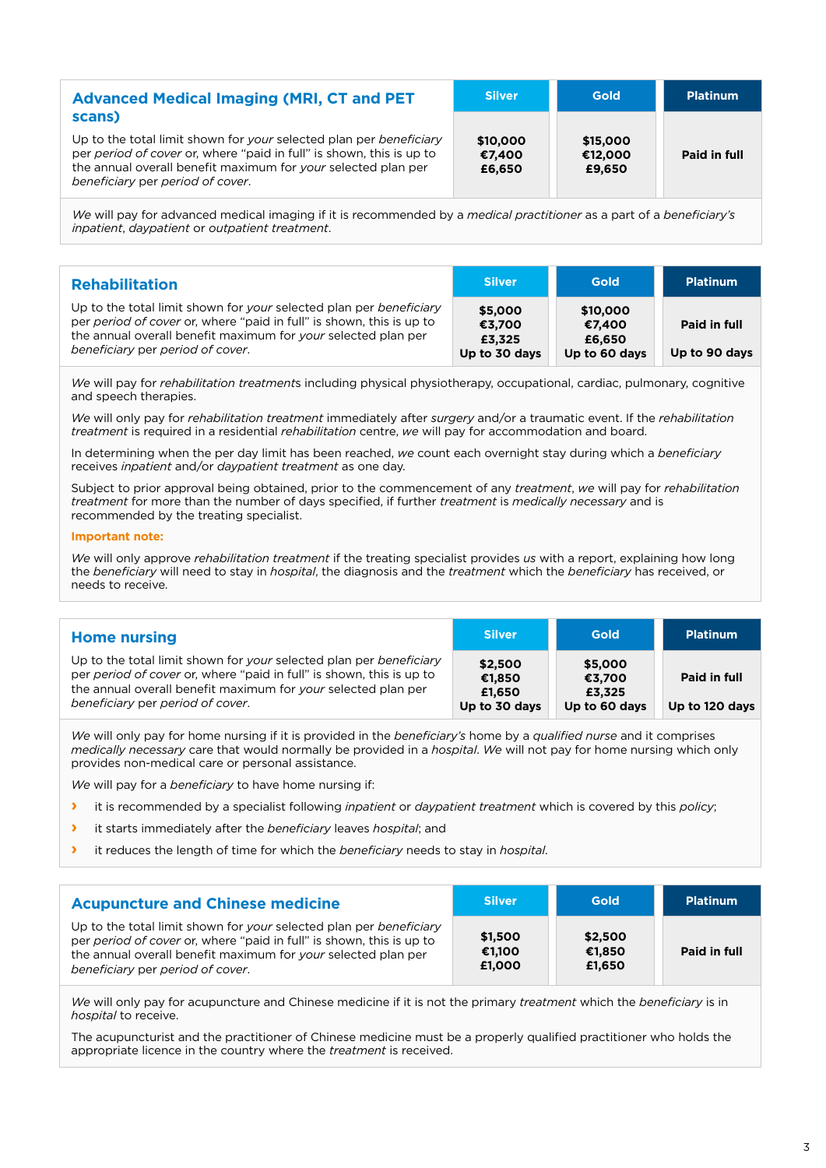| <b>Advanced Medical Imaging (MRI, CT and PET</b>                                                                                                                                                                                                          | <b>Silver</b>                | <b>Gold</b>                   | <b>Platinum</b> |
|-----------------------------------------------------------------------------------------------------------------------------------------------------------------------------------------------------------------------------------------------------------|------------------------------|-------------------------------|-----------------|
| scans)<br>Up to the total limit shown for your selected plan per beneficiary<br>per period of cover or, where "paid in full" is shown, this is up to<br>the annual overall benefit maximum for your selected plan per<br>beneficiary per period of cover. | \$10,000<br>€7.400<br>£6,650 | \$15,000<br>€12,000<br>£9,650 | Paid in full    |

*We* will pay for advanced medical imaging if it is recommended by a *medical practitioner* as a part of a *beneficiary's inpatient*, *daypatient* or *outpatient treatment*.

| <b>Rehabilitation</b>                                                                                                                                                                                                                           | <b>Silver</b>                                | <b>Gold</b>                                   | <b>Platinum</b>               |
|-------------------------------------------------------------------------------------------------------------------------------------------------------------------------------------------------------------------------------------------------|----------------------------------------------|-----------------------------------------------|-------------------------------|
| Up to the total limit shown for your selected plan per beneficiary<br>per period of cover or, where "paid in full" is shown, this is up to<br>the annual overall benefit maximum for your selected plan per<br>beneficiary per period of cover. | \$5,000<br>€3.700<br>£3,325<br>Up to 30 days | \$10,000<br>€7.400<br>£6,650<br>Up to 60 days | Paid in full<br>Up to 90 days |

*We* will pay for *rehabilitation treatment*s including physical physiotherapy, occupational, cardiac, pulmonary, cognitive and speech therapies.

*We* will only pay for *rehabilitation treatment* immediately after *surgery* and/or a traumatic event. If the *rehabilitation treatment* is required in a residential *rehabilitation* centre, *we* will pay for accommodation and board.

In determining when the per day limit has been reached, *we* count each overnight stay during which a *beneficiary* receives *inpatient* and/or *daypatient treatment* as one day.

Subject to prior approval being obtained, prior to the commencement of any *treatment*, *we* will pay for *rehabilitation treatment* for more than the number of days specified, if further *treatment* is *medically necessary* and is recommended by the treating specialist.

#### **Important note:**

*We* will only approve *rehabilitation treatment* if the treating specialist provides *us* with a report, explaining how long the *beneficiary* will need to stay in *hospital*, the diagnosis and the *treatment* which the *beneficiary* has received, or needs to receive.

**Silver Gold Platinum**

**\$5,000 €3,700 £3,325 Up to 60 days**

**Paid in full**

**Up to 120 days**

| <b>Home nursing</b> |  |  |
|---------------------|--|--|
|                     |  |  |

Up to the total limit shown for *your* selected plan per *beneficiary* per *period of cover* or, where "paid in full" is shown, this is up to the annual overall benefit maximum for *your* selected plan per *beneficiary* per *period of cover*. **\$2,500 €1,850 £1,650 Up to 30 days**

*We* will only pay for home nursing if it is provided in the *beneficiary's* home by a *qualified nurse* and it comprises *medically necessary* care that would normally be provided in a *hospital*. *We* will not pay for home nursing which only provides non-medical care or personal assistance.

*We* will pay for a *beneficiary* to have home nursing if:

- **›** it is recommended by a specialist following *inpatient* or *daypatient treatment* which is covered by this *policy*;
- **›** it starts immediately after the *beneficiary* leaves *hospital*; and
- **›** it reduces the length of time for which the *beneficiary* needs to stay in *hospital*.

| <b>Acupuncture and Chinese medicine</b>                                                                                                                                                                                                         | <b>Silver</b>               | Gold                        | <b>Platinum</b> |
|-------------------------------------------------------------------------------------------------------------------------------------------------------------------------------------------------------------------------------------------------|-----------------------------|-----------------------------|-----------------|
| Up to the total limit shown for your selected plan per beneficiary<br>per period of cover or, where "paid in full" is shown, this is up to<br>the annual overall benefit maximum for your selected plan per<br>beneficiary per period of cover. | \$1.500<br>€1.100<br>£1.000 | \$2,500<br>€1.850<br>£1.650 | Paid in full    |

*We* will only pay for acupuncture and Chinese medicine if it is not the primary *treatment* which the *beneficiary* is in *hospital* to receive.

The acupuncturist and the practitioner of Chinese medicine must be a properly qualified practitioner who holds the appropriate licence in the country where the *treatment* is received.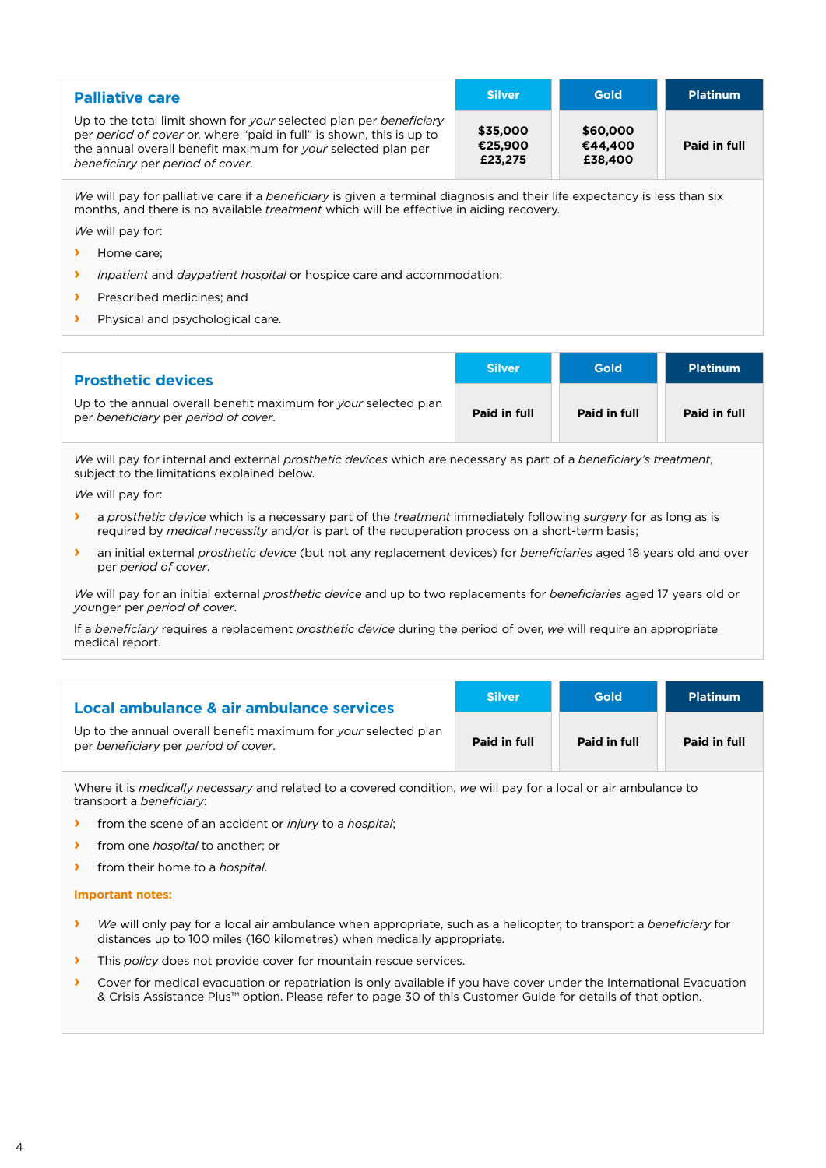| <b>Palliative care</b>                                                                                                                                                                                                                          | <b>Silver</b>                  | <b>Gold</b>                    | <b>Platinum</b> |
|-------------------------------------------------------------------------------------------------------------------------------------------------------------------------------------------------------------------------------------------------|--------------------------------|--------------------------------|-----------------|
| Up to the total limit shown for your selected plan per beneficiary<br>per period of cover or, where "paid in full" is shown, this is up to<br>the annual overall benefit maximum for your selected plan per<br>beneficiary per period of cover. | \$35,000<br>€25,900<br>£23,275 | \$60,000<br>€44.400<br>£38,400 | Paid in full    |

*We* will pay for palliative care if a *beneficiary* is given a terminal diagnosis and their life expectancy is less than six months, and there is no available *treatment* which will be effective in aiding recovery.

*We* will pay for:

- **›** Home care;
- **›** *Inpatient* and *daypatient hospital* or hospice care and accommodation;
- **›** Prescribed medicines; and
- **›** Physical and psychological care.

| <b>Prosthetic devices</b>                                                                               | <b>Silver</b> | <b>Gold</b>  | <b>Platinum</b> |
|---------------------------------------------------------------------------------------------------------|---------------|--------------|-----------------|
| Up to the annual overall benefit maximum for your selected plan<br>per beneficiary per period of cover. | Paid in full  | Paid in full | Paid in full    |

*We* will pay for internal and external *prosthetic devices* which are necessary as part of a *beneficiary's treatment*, subject to the limitations explained below.

*We* will pay for:

- **›** a *prosthetic device* which is a necessary part of the *treatment* immediately following *surgery* for as long as is required by *medical necessity* and/or is part of the recuperation process on a short-term basis;
- **›** an initial external *prosthetic device* (but not any replacement devices) for *beneficiaries* aged 18 years old and over per *period of cover*.

*We* will pay for an initial external *prosthetic device* and up to two replacements for *beneficiaries* aged 17 years old or *you*nger per *period of cover*.

If a *beneficiary* requires a replacement *prosthetic device* during the period of over, *we* will require an appropriate medical report.

| Local ambulance & air ambulance services                                                                | <b>Silver</b> | <b>Gold</b>  | <b>Platinum</b> |
|---------------------------------------------------------------------------------------------------------|---------------|--------------|-----------------|
| Up to the annual overall benefit maximum for your selected plan<br>per beneficiary per period of cover. | Paid in full  | Paid in full | Paid in full    |

Where it is *medically necessary* and related to a covered condition, *we* will pay for a local or air ambulance to transport a *beneficiary*:

- **›** from the scene of an accident or *injury* to a *hospital*;
- **›** from one *hospital* to another; or
- **›** from their home to a *hospital*.

#### **Important notes:**

- **›** *We* will only pay for a local air ambulance when appropriate, such as a helicopter, to transport a *beneficiary* for distances up to 100 miles (160 kilometres) when medically appropriate.
- **›** This *policy* does not provide cover for mountain rescue services.
- **›** Cover for medical evacuation or repatriation is only available if you have cover under the International Evacuation & Crisis Assistance Plus™ option. Please refer to page 30 of this Customer Guide for details of that option.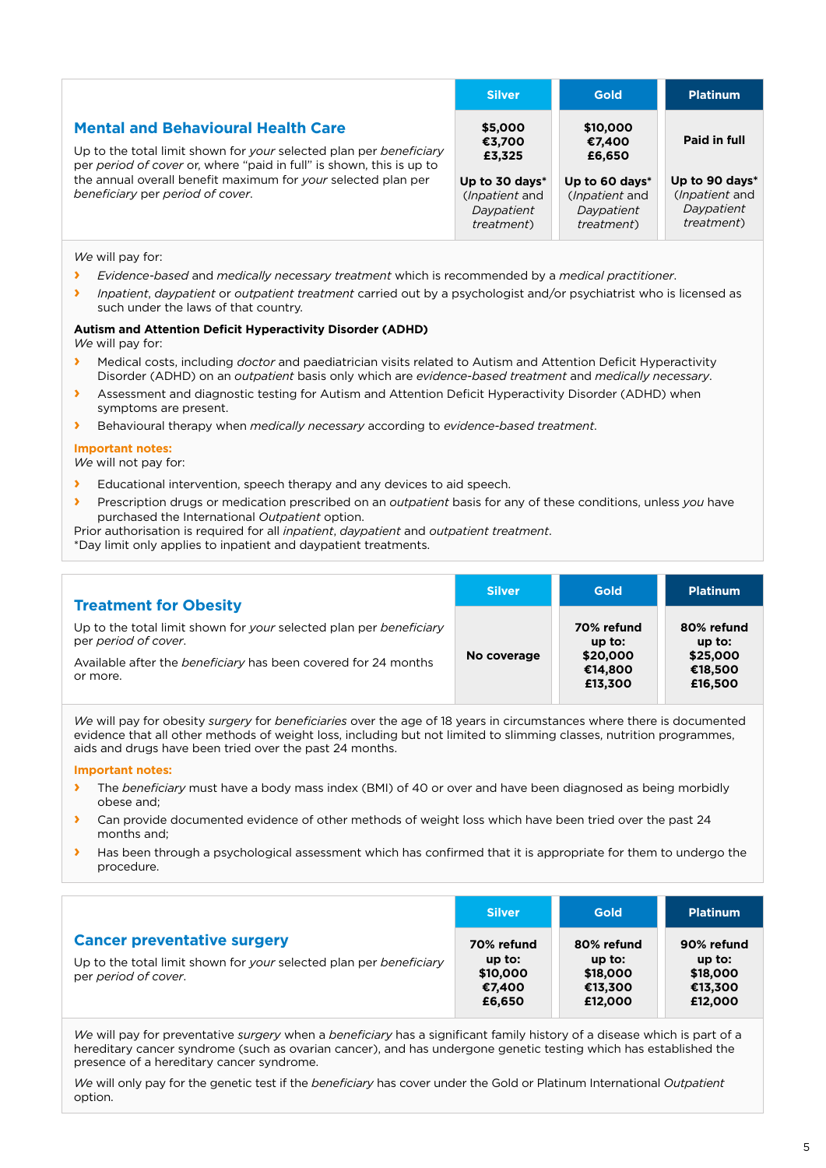|                                                                                                                                                                                         | <b>Silver</b>                                                                | <b>Gold</b>                                                          | <b>Platinum</b>                                                              |
|-----------------------------------------------------------------------------------------------------------------------------------------------------------------------------------------|------------------------------------------------------------------------------|----------------------------------------------------------------------|------------------------------------------------------------------------------|
| <b>Mental and Behavioural Health Care</b><br>Up to the total limit shown for your selected plan per beneficiary<br>per period of cover or, where "paid in full" is shown, this is up to | \$5,000<br>€3,700<br>£3,325                                                  | \$10,000<br>€7,400<br>£6,650                                         | Paid in full                                                                 |
| the annual overall benefit maximum for your selected plan per<br>beneficiary per period of cover.                                                                                       | Up to 30 days*<br>( <i>Inpatient</i> and<br>Daypatient<br><i>treatment</i> ) | Up to 60 days*<br>(Inpatient and<br>Daypatient<br><i>treatment</i> ) | Up to 90 days*<br>( <i>Inpatient</i> and<br>Daypatient<br><i>treatment</i> ) |

*We* will pay for:

- **›** *Evidence-based* and *medically necessary treatment* which is recommended by a *medical practitioner*.
- **›** *Inpatient*, *daypatient* or *outpatient treatment* carried out by a psychologist and/or psychiatrist who is licensed as such under the laws of that country.

#### **Autism and Attention Deficit Hyperactivity Disorder (ADHD)**

*We* will pay for:

- **›** Medical costs, including *doctor* and paediatrician visits related to Autism and Attention Deficit Hyperactivity Disorder (ADHD) on an *outpatient* basis only which are *evidence-based treatment* and *medically necessary*.
- **›** Assessment and diagnostic testing for Autism and Attention Deficit Hyperactivity Disorder (ADHD) when symptoms are present.
- **›** Behavioural therapy when *medically necessary* according to *evidence-based treatment*.

#### **Important notes:**

*We* will not pay for:

- **›** Educational intervention, speech therapy and any devices to aid speech.
- **›** Prescription drugs or medication prescribed on an *outpatient* basis for any of these conditions, unless *you* have purchased the International *Outpatient* option.

Prior authorisation is required for all *inpatient*, *daypatient* and *outpatient treatment*.

\*Day limit only applies to inpatient and daypatient treatments.

| <b>Treatment for Obesity</b>                                                                                                                                             | <b>Silver</b> | <b>Gold</b>                                              | <b>Platinum</b>                                          |
|--------------------------------------------------------------------------------------------------------------------------------------------------------------------------|---------------|----------------------------------------------------------|----------------------------------------------------------|
| Up to the total limit shown for your selected plan per beneficiary<br>per period of cover.<br>Available after the beneficiary has been covered for 24 months<br>or more. | No coverage   | 70% refund<br>$up$ to:<br>\$20,000<br>€14.800<br>£13,300 | 80% refund<br>$up$ to:<br>\$25,000<br>€18,500<br>£16,500 |

*We* will pay for obesity *surgery* for *beneficiaries* over the age of 18 years in circumstances where there is documented evidence that all other methods of weight loss, including but not limited to slimming classes, nutrition programmes, aids and drugs have been tried over the past 24 months.

#### **Important notes:**

- **›** The *beneficiary* must have a body mass index (BMI) of 40 or over and have been diagnosed as being morbidly obese and;
- **›** Can provide documented evidence of other methods of weight loss which have been tried over the past 24 months and;
- **›** Has been through a psychological assessment which has confirmed that it is appropriate for them to undergo the procedure.

|                                                                                                                                  | <b>Silver</b>                                          | <b>Gold</b>                                              | <b>Platinum</b>                                          |
|----------------------------------------------------------------------------------------------------------------------------------|--------------------------------------------------------|----------------------------------------------------------|----------------------------------------------------------|
| <b>Cancer preventative surgery</b><br>Up to the total limit shown for your selected plan per beneficiary<br>per period of cover. | 70% refund<br>$up$ to:<br>\$10,000<br>€7.400<br>£6,650 | 80% refund<br>$up$ to:<br>\$18,000<br>€13,300<br>£12,000 | 90% refund<br>$up$ to:<br>\$18,000<br>€13,300<br>£12,000 |

*We* will pay for preventative *surgery* when a *beneficiary* has a significant family history of a disease which is part of a hereditary cancer syndrome (such as ovarian cancer), and has undergone genetic testing which has established the presence of a hereditary cancer syndrome.

*We* will only pay for the genetic test if the *beneficiary* has cover under the Gold or Platinum International *Outpatient* option.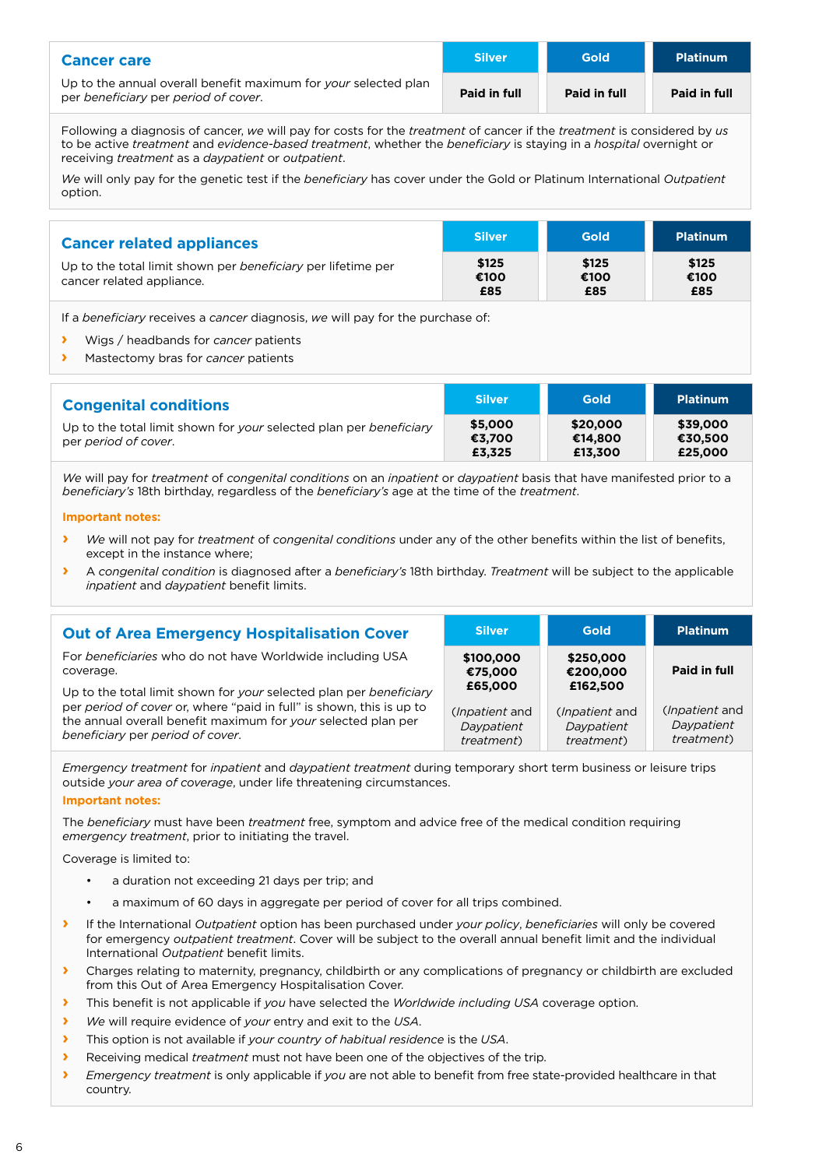| <b>Cancer care</b>                                                                                      | <b>Silver</b> | Gold         | <b>Platinum</b> |
|---------------------------------------------------------------------------------------------------------|---------------|--------------|-----------------|
| Up to the annual overall benefit maximum for your selected plan<br>per beneficiary per period of cover. | Paid in full  | Paid in full | Paid in full    |

Following a diagnosis of cancer, *we* will pay for costs for the *treatment* of cancer if the *treatment* is considered by *us* to be active *treatment* and *evidence-based treatment*, whether the *beneficiary* is staying in a *hospital* overnight or receiving *treatment* as a *daypatient* or *outpatient*.

*We* will only pay for the genetic test if the *beneficiary* has cover under the Gold or Platinum International *Outpatient* option.

| <b>Cancer related appliances</b>                                                          | <b>Silver</b>        | <b>Gold</b>          | <b>Platinum</b>      |
|-------------------------------------------------------------------------------------------|----------------------|----------------------|----------------------|
| Up to the total limit shown per beneficiary per lifetime per<br>cancer related appliance. | \$125<br>€100<br>£85 | \$125<br>€100<br>£85 | \$125<br>€100<br>£85 |

If a *beneficiary* receives a *cancer* diagnosis, *we* will pay for the purchase of:

- **›** Wigs / headbands for *cancer* patients
- **›** Mastectomy bras for *cancer* patients

| <b>Congenital conditions</b>                                                               | <b>Silver</b>               | <b>Gold</b>                    | <b>Platinum</b>                |
|--------------------------------------------------------------------------------------------|-----------------------------|--------------------------------|--------------------------------|
| Up to the total limit shown for your selected plan per beneficiary<br>per period of cover. | \$5,000<br>€3.700<br>£3.325 | \$20,000<br>€14.800<br>£13,300 | \$39,000<br>€30.500<br>£25,000 |

*We* will pay for *treatment* of *congenital conditions* on an *inpatient* or *daypatient* basis that have manifested prior to a *beneficiary's* 18th birthday, regardless of the *beneficiary's* age at the time of the *treatment*.

#### **Important notes:**

- **›** *We* will not pay for *treatment* of *congenital conditions* under any of the other benefits within the list of benefits, except in the instance where;
- **›** A *congenital condition* is diagnosed after a *beneficiary's* 18th birthday. *Treatment* will be subject to the applicable *inpatient* and *daypatient* benefit limits.

| <b>Out of Area Emergency Hospitalisation Cover</b>                                                                                                                                                                                              | <b>Silver</b>                                                         | <b>Gold</b>                                                            | <b>Platinum</b>                                            |
|-------------------------------------------------------------------------------------------------------------------------------------------------------------------------------------------------------------------------------------------------|-----------------------------------------------------------------------|------------------------------------------------------------------------|------------------------------------------------------------|
| For beneficiaries who do not have Worldwide including USA<br>coverage.                                                                                                                                                                          | \$100,000<br>€75,000                                                  | \$250,000<br>€200,000                                                  | Paid in full                                               |
| Up to the total limit shown for your selected plan per beneficiary<br>per period of cover or, where "paid in full" is shown, this is up to<br>the annual overall benefit maximum for your selected plan per<br>beneficiary per period of cover. | £65,000<br>( <i>Inpatient</i> and<br>Daypatient<br><i>treatment</i> ) | £162,500<br>( <i>Inpatient</i> and<br>Daypatient<br><i>treatment</i> ) | ( <i>Inpatient</i> and<br>Daypatient<br><i>treatment</i> ) |

*Emergency treatment* for *inpatient* and *daypatient treatment* during temporary short term business or leisure trips outside *your area of coverage*, under life threatening circumstances.

#### **Important notes:**

The *beneficiary* must have been *treatment* free, symptom and advice free of the medical condition requiring *emergency treatment*, prior to initiating the travel.

Coverage is limited to:

- a duration not exceeding 21 days per trip; and
- a maximum of 60 days in aggregate per period of cover for all trips combined.
- **›** If the International *Outpatient* option has been purchased under *your policy*, *beneficiaries* will only be covered for emergency *outpatient treatment*. Cover will be subject to the overall annual benefit limit and the individual International *Outpatient* benefit limits.
- **I** Charges relating to maternity, pregnancy, childbirth or any complications of pregnancy or childbirth are excluded from this Out of Area Emergency Hospitalisation Cover.
- **›** This benefit is not applicable if *you* have selected the *Worldwide including USA* coverage option.
- **›** *We* will require evidence of *your* entry and exit to the *USA*.
- **›** This option is not available if *your country of habitual residence* is the *USA*.
- **›** Receiving medical *treatment* must not have been one of the objectives of the trip.
- **›** *Emergency treatment* is only applicable if *you* are not able to benefit from free state-provided healthcare in that country.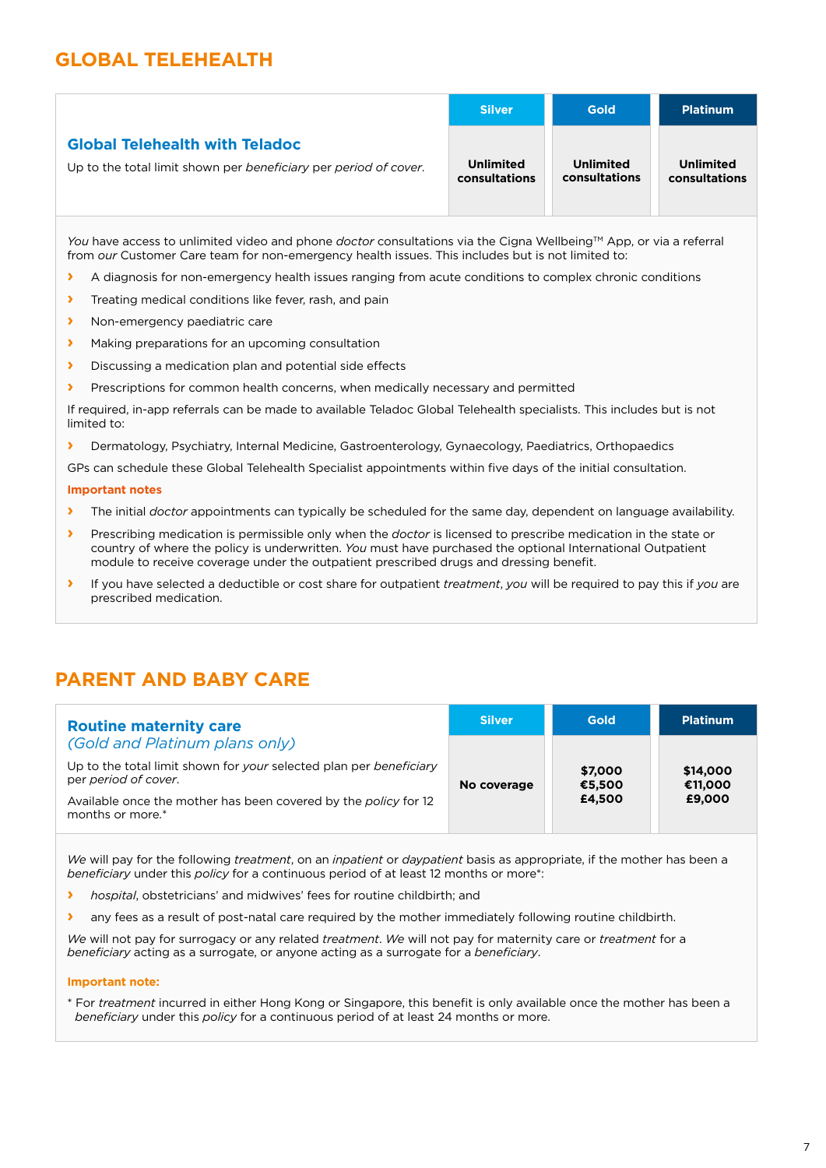## **GLOBAL TELEHEALTH**

|                                                                  | <b>Silver</b>    | <b>Gold</b>      | <b>Platinum</b>  |
|------------------------------------------------------------------|------------------|------------------|------------------|
| <b>Global Telehealth with Teladoc</b>                            | <b>Unlimited</b> | <b>Unlimited</b> | <b>Unlimited</b> |
| Up to the total limit shown per beneficiary per period of cover. | consultations    | consultations    | consultations    |

*You* have access to unlimited video and phone *doctor* consultations via the Cigna Wellbeing™ App, or via a referral from *our* Customer Care team for non-emergency health issues. This includes but is not limited to:

- **I** A diagnosis for non-emergency health issues ranging from acute conditions to complex chronic conditions
- **›** Treating medical conditions like fever, rash, and pain
- **›** Non-emergency paediatric care
- **›** Making preparations for an upcoming consultation
- **›** Discussing a medication plan and potential side effects
- **›** Prescriptions for common health concerns, when medically necessary and permitted

If required, in-app referrals can be made to available Teladoc Global Telehealth specialists. This includes but is not limited to:

**›** Dermatology, Psychiatry, Internal Medicine, Gastroenterology, Gynaecology, Paediatrics, Orthopaedics

GPs can schedule these Global Telehealth Specialist appointments within five days of the initial consultation.

#### **Important notes**

- **›** The initial *doctor* appointments can typically be scheduled for the same day, dependent on language availability.
- **›** Prescribing medication is permissible only when the *doctor* is licensed to prescribe medication in the state or country of where the policy is underwritten. *You* must have purchased the optional International Outpatient module to receive coverage under the outpatient prescribed drugs and dressing benefit.
- **›** If you have selected a deductible or cost share for outpatient *treatment*, *you* will be required to pay this if *you* are prescribed medication.

## **PARENT AND BABY CARE**

| <b>Routine maternity care</b>                                                              | <b>Silver</b> | Gold              | Platinum            |
|--------------------------------------------------------------------------------------------|---------------|-------------------|---------------------|
| (Gold and Platinum plans only)                                                             |               |                   |                     |
| Up to the total limit shown for your selected plan per beneficiary<br>per period of cover. | No coverage   | \$7,000<br>€5,500 | \$14,000<br>€11,000 |
| Available once the mother has been covered by the policy for 12<br>months or more.*        |               | £4.500            | £9,000              |

*We* will pay for the following *treatment*, on an *inpatient* or *daypatient* basis as appropriate, if the mother has been a *beneficiary* under this *policy* for a continuous period of at least 12 months or more\*:

- **›** *hospital*, obstetricians' and midwives' fees for routine childbirth; and
- **›** any fees as a result of post-natal care required by the mother immediately following routine childbirth.

*We* will not pay for surrogacy or any related *treatment*. *We* will not pay for maternity care or *treatment* for a *beneficiary* acting as a surrogate, or anyone acting as a surrogate for a *beneficiary*.

#### **Important note:**

\* For *treatment* incurred in either Hong Kong or Singapore, this benefit is only available once the mother has been a *beneficiary* under this *policy* for a continuous period of at least 24 months or more.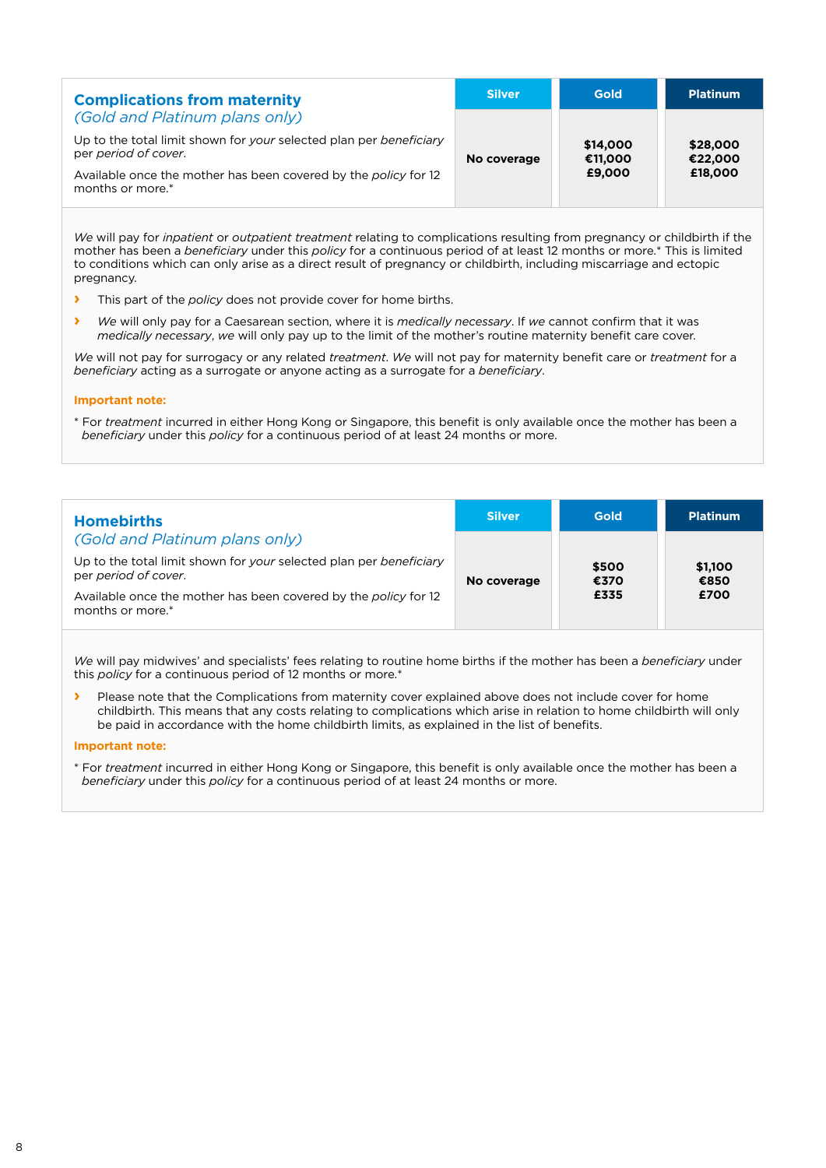| <b>Complications from maternity</b>                                                        | <b>Silver</b> | Gold                | <b>Platinum</b>     |
|--------------------------------------------------------------------------------------------|---------------|---------------------|---------------------|
| (Gold and Platinum plans only)                                                             |               |                     |                     |
| Up to the total limit shown for your selected plan per beneficiary<br>per period of cover. | No coverage   | \$14,000<br>€11,000 | \$28,000<br>€22,000 |
| Available once the mother has been covered by the policy for 12<br>months or more.*        |               | £9,000              | £18,000             |

*We* will pay for *inpatient* or *outpatient treatment* relating to complications resulting from pregnancy or childbirth if the mother has been a *beneficiary* under this *policy* for a continuous period of at least 12 months or more.\* This is limited to conditions which can only arise as a direct result of pregnancy or childbirth, including miscarriage and ectopic pregnancy.

- **›** This part of the *policy* does not provide cover for home births.
- **›** *We* will only pay for a Caesarean section, where it is *medically necessary*. If *we* cannot confirm that it was *medically necessary*, *we* will only pay up to the limit of the mother's routine maternity benefit care cover.

*We* will not pay for surrogacy or any related *treatment*. *We* will not pay for maternity benefit care or *treatment* for a *beneficiary* acting as a surrogate or anyone acting as a surrogate for a *beneficiary*.

#### **Important note:**

\* For *treatment* incurred in either Hong Kong or Singapore, this benefit is only available once the mother has been a *beneficiary* under this *policy* for a continuous period of at least 24 months or more.

| <b>Homebirths</b>                                                                               | <b>Silver</b> | <b>Gold</b>   | <b>Platinum</b> |
|-------------------------------------------------------------------------------------------------|---------------|---------------|-----------------|
| (Gold and Platinum plans only)                                                                  |               |               |                 |
| Up to the total limit shown for your selected plan per beneficiary<br>per period of cover.      | No coverage   | \$500<br>€370 | \$1,100<br>€850 |
| Available once the mother has been covered by the policy for 12<br>months or more. <sup>*</sup> |               | £335          | £700            |

*We* will pay midwives' and specialists' fees relating to routine home births if the mother has been a *beneficiary* under this *policy* for a continuous period of 12 months or more.\*

**›** Please note that the Complications from maternity cover explained above does not include cover for home childbirth. This means that any costs relating to complications which arise in relation to home childbirth will only be paid in accordance with the home childbirth limits, as explained in the list of benefits.

#### **Important note:**

\* For *treatment* incurred in either Hong Kong or Singapore, this benefit is only available once the mother has been a *beneficiary* under this *policy* for a continuous period of at least 24 months or more.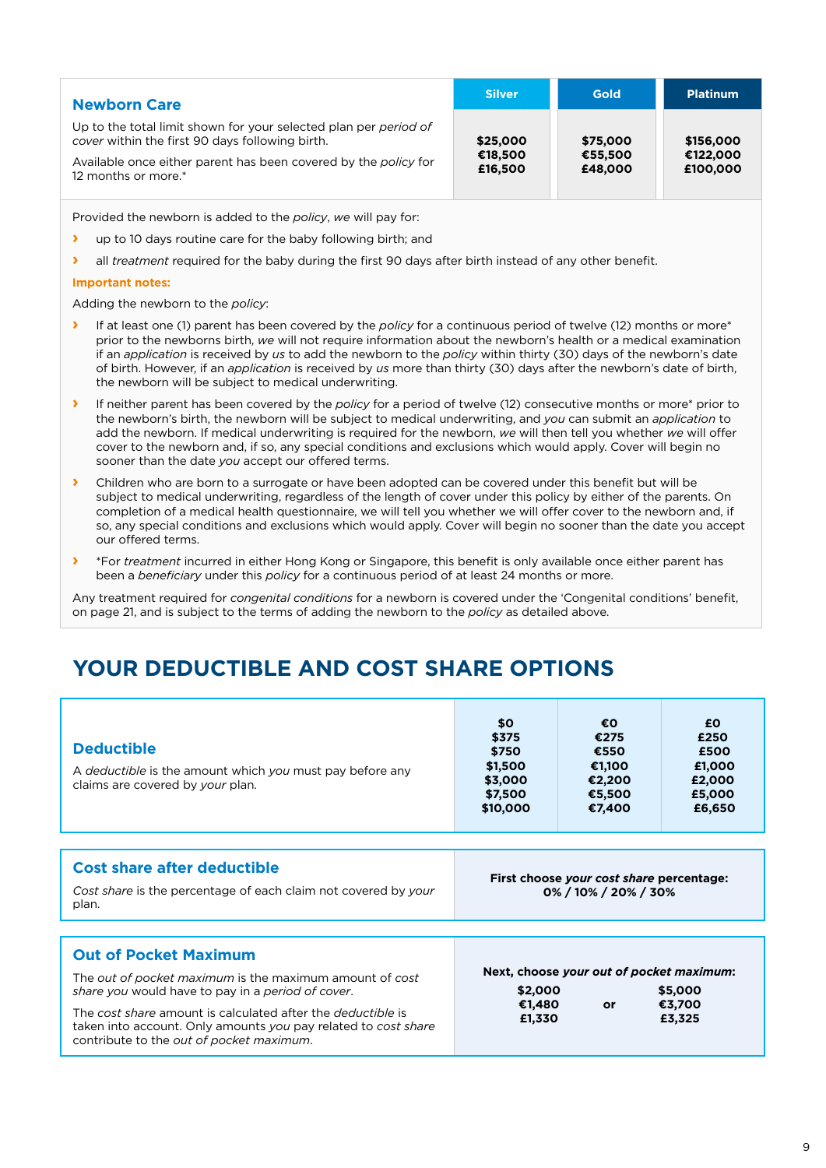| <b>Newborn Care</b>                                                                                                 | <b>Silver</b>      | <b>Gold</b>        | <b>Platinum</b>      |
|---------------------------------------------------------------------------------------------------------------------|--------------------|--------------------|----------------------|
| Up to the total limit shown for your selected plan per period of<br>cover within the first 90 days following birth. | \$25,000           | \$75,000           | \$156,000            |
| Available once either parent has been covered by the policy for<br>12 months or more.*                              | €18,500<br>£16,500 | €55,500<br>£48,000 | €122,000<br>£100,000 |

Provided the newborn is added to the *policy*, *we* will pay for:

- **›** up to 10 days routine care for the baby following birth; and
- **›** all *treatment* required for the baby during the first 90 days after birth instead of any other benefit.

#### **Important notes:**

Adding the newborn to the *policy*:

- **›** If at least one (1) parent has been covered by the *policy* for a continuous period of twelve (12) months or more\* prior to the newborns birth, *we* will not require information about the newborn's health or a medical examination if an *application* is received by *us* to add the newborn to the *policy* within thirty (30) days of the newborn's date of birth. However, if an *application* is received by *us* more than thirty (30) days after the newborn's date of birth, the newborn will be subject to medical underwriting.
- **›** If neither parent has been covered by the *policy* for a period of twelve (12) consecutive months or more\* prior to the newborn's birth, the newborn will be subject to medical underwriting, and *you* can submit an *application* to add the newborn. If medical underwriting is required for the newborn, *we* will then tell you whether *we* will offer cover to the newborn and, if so, any special conditions and exclusions which would apply. Cover will begin no sooner than the date *you* accept our offered terms.
- **›** Children who are born to a surrogate or have been adopted can be covered under this benefit but will be subject to medical underwriting, regardless of the length of cover under this policy by either of the parents. On completion of a medical health questionnaire, we will tell you whether we will offer cover to the newborn and, if so, any special conditions and exclusions which would apply. Cover will begin no sooner than the date you accept our offered terms.
- **›** \*For *treatment* incurred in either Hong Kong or Singapore, this benefit is only available once either parent has been a *beneficiary* under this *policy* for a continuous period of at least 24 months or more.

Any treatment required for *congenital conditions* for a newborn is covered under the 'Congenital conditions' benefit, on page 21, and is subject to the terms of adding the newborn to the *policy* as detailed above.

# **YOUR DEDUCTIBLE AND COST SHARE OPTIONS**

| <b>Deductible</b><br>A deductible is the amount which you must pay before any<br>claims are covered by your plan.                                                                                                                                                                                                                        | \$O<br>\$375<br>\$750<br>\$1,500<br>\$3,000<br>\$7,500<br>\$10,000  | €O<br>€275<br>€550<br>€1,100<br>€2,200<br>€5,500<br>€7,400 | £0<br>£250<br>£500<br>£1,000<br>£2,000<br>£5,000<br>£6,650 |  |
|------------------------------------------------------------------------------------------------------------------------------------------------------------------------------------------------------------------------------------------------------------------------------------------------------------------------------------------|---------------------------------------------------------------------|------------------------------------------------------------|------------------------------------------------------------|--|
|                                                                                                                                                                                                                                                                                                                                          |                                                                     |                                                            |                                                            |  |
| <b>Cost share after deductible</b><br>Cost share is the percentage of each claim not covered by your<br>plan.                                                                                                                                                                                                                            | First choose your cost share percentage:<br>$0\%$ / 10% / 20% / 30% |                                                            |                                                            |  |
|                                                                                                                                                                                                                                                                                                                                          |                                                                     |                                                            |                                                            |  |
| <b>Out of Pocket Maximum</b><br>The out of pocket maximum is the maximum amount of cost<br>share you would have to pay in a period of cover.<br>The cost share amount is calculated after the <i>deductible</i> is<br>taken into account. Only amounts you pay related to cost share<br>contribute to the <i>out of pocket maximum</i> . | \$2,000<br>€1,480<br>£1,330                                         | Next, choose your out of pocket maximum:<br>or             | \$5,000<br>€3,700<br>£3,325                                |  |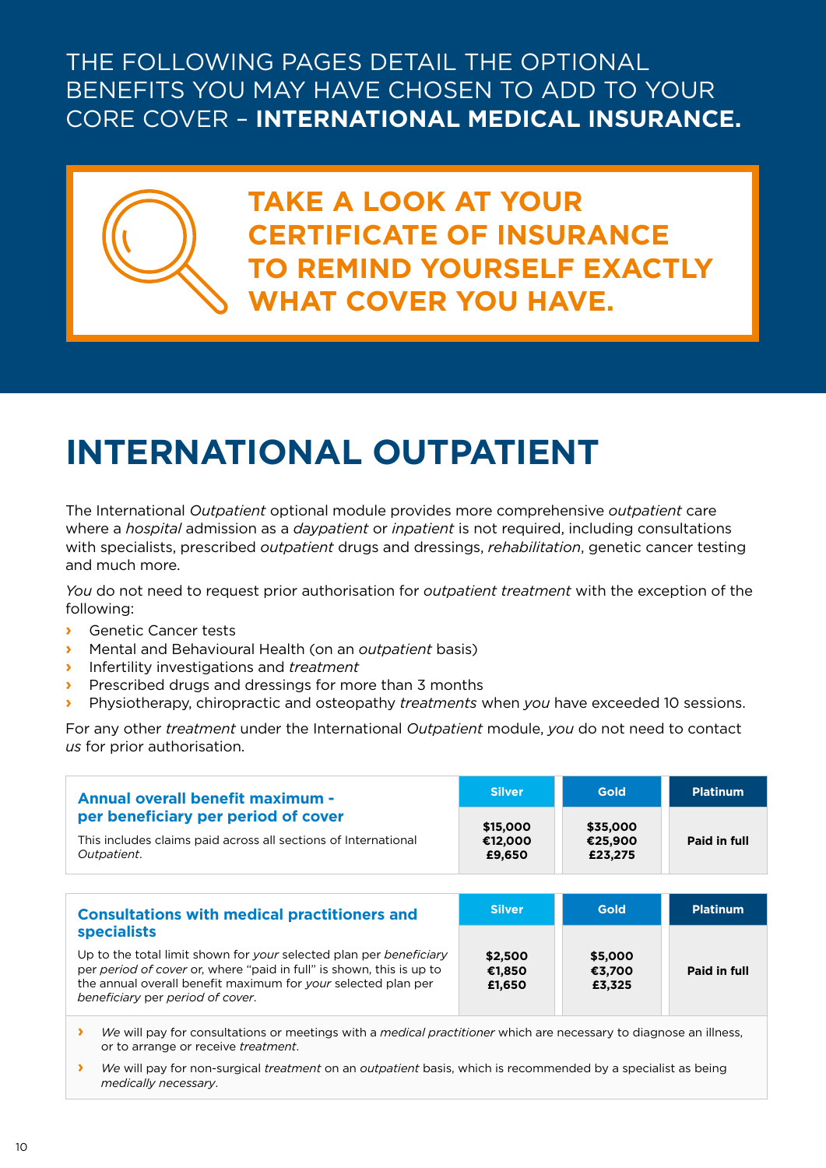# THE FOLLOWING PAGES DETAIL THE OPTIONAL BENEFITS YOU MAY HAVE CHOSEN TO ADD TO YOUR CORE COVER – **INTERNATIONAL MEDICAL INSURANCE.**



**TAKE A LOOK AT YOUR CERTIFICATE OF INSURANCE TO REMIND YOURSELF EXACTLY WHAT COVER YOU HAVE.**

# **INTERNATIONAL OUTPATIENT**

The International *Outpatient* optional module provides more comprehensive *outpatient* care where a *hospital* admission as a *daypatient* or *inpatient* is not required, including consultations with specialists, prescribed *outpatient* drugs and dressings, *rehabilitation*, genetic cancer testing and much more.

*You* do not need to request prior authorisation for *outpatient treatment* with the exception of the following:

- **›** Genetic Cancer tests
- **›** Mental and Behavioural Health (on an *outpatient* basis)
- **›** Infertility investigations and *treatment*
- **›** Prescribed drugs and dressings for more than 3 months
- **›** Physiotherapy, chiropractic and osteopathy *treatments* when *you* have exceeded 10 sessions.

For any other *treatment* under the International *Outpatient* module, *you* do not need to contact *us* for prior authorisation.

| <b>Annual overall benefit maximum -</b>                                                                              | <b>Silver</b>                 | <b>Gold</b>                    | <b>Platinum</b> |
|----------------------------------------------------------------------------------------------------------------------|-------------------------------|--------------------------------|-----------------|
| per beneficiary per period of cover<br>This includes claims paid across all sections of International<br>Outpatient. | \$15,000<br>€12,000<br>£9,650 | \$35,000<br>€25,900<br>£23,275 | Paid in full    |
|                                                                                                                      |                               |                                |                 |

| <b>Consultations with medical practitioners and</b>                                                                                                                                                                                             | <b>Silver</b>               | <b>Gold</b>                 | <b>Platinum</b> |
|-------------------------------------------------------------------------------------------------------------------------------------------------------------------------------------------------------------------------------------------------|-----------------------------|-----------------------------|-----------------|
| <b>specialists</b>                                                                                                                                                                                                                              |                             |                             |                 |
| Up to the total limit shown for your selected plan per beneficiary<br>per period of cover or, where "paid in full" is shown, this is up to<br>the annual overall benefit maximum for your selected plan per<br>beneficiary per period of cover. | \$2,500<br>€1.850<br>£1,650 | \$5,000<br>€3.700<br>£3,325 | Paid in full    |

**›** *We* will pay for consultations or meetings with a *medical practitioner* which are necessary to diagnose an illness, or to arrange or receive *treatment*.

**›** *We* will pay for non-surgical *treatment* on an *outpatient* basis, which is recommended by a specialist as being *medically necessary*.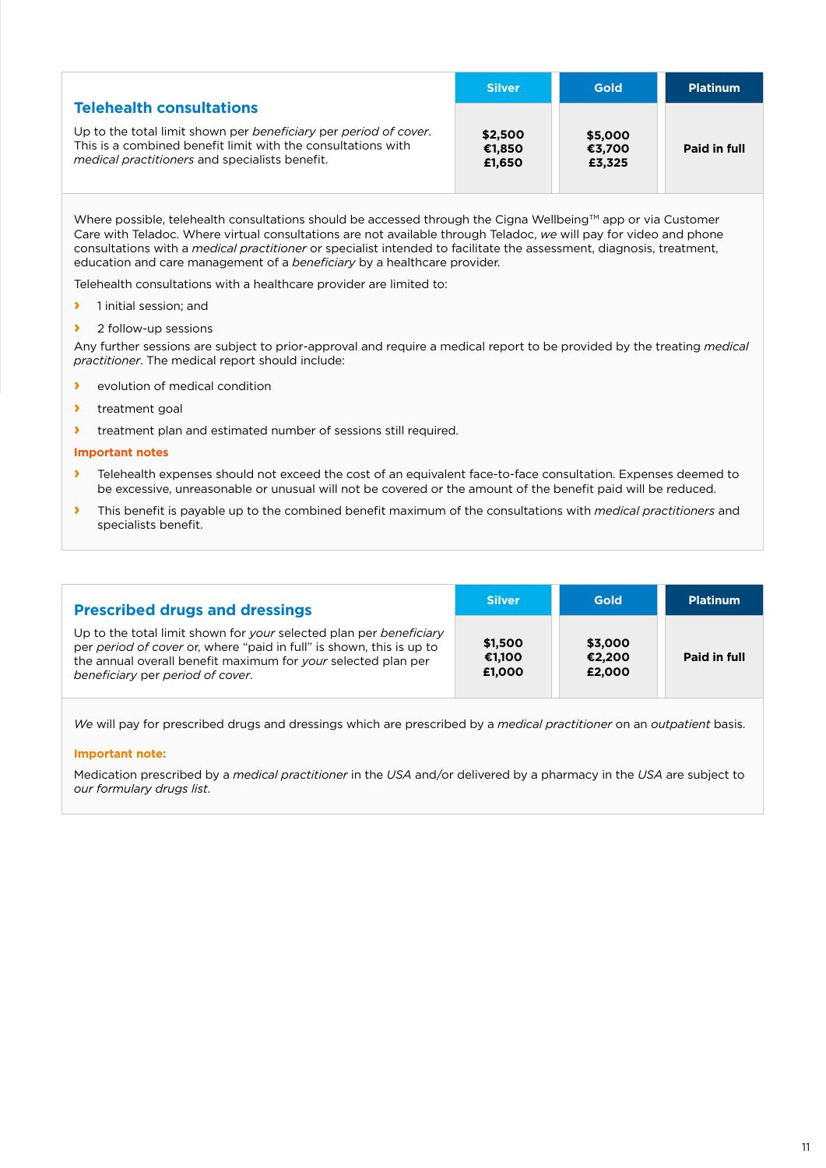|                                                                                                                                                                                    | <b>Silver</b>               | Gold                        | <b>Platinum</b> |
|------------------------------------------------------------------------------------------------------------------------------------------------------------------------------------|-----------------------------|-----------------------------|-----------------|
| <b>Telehealth consultations</b>                                                                                                                                                    |                             |                             |                 |
| Up to the total limit shown per beneficiary per period of cover.<br>This is a combined benefit limit with the consultations with<br>medical practitioners and specialists benefit. | \$2,500<br>€1.850<br>£1.650 | \$5,000<br>€3.700<br>£3,325 | Paid in full    |

Where possible, telehealth consultations should be accessed through the Cigna Wellbeing™ app or via Customer Care with Teladoc. Where virtual consultations are not available through Teladoc, *we* will pay for video and phone consultations with a *medical practitioner* or specialist intended to facilitate the assessment, diagnosis, treatment, education and care management of a *beneficiary* by a healthcare provider.

Telehealth consultations with a healthcare provider are limited to:

- **›** 1 initial session; and
- **›** 2 follow-up sessions

Any further sessions are subject to prior-approval and require a medical report to be provided by the treating *medical practitioner*. The medical report should include:

- **›** evolution of medical condition
- **›** treatment goal
- **›** treatment plan and estimated number of sessions still required.

#### **Important notes**

- **›** Telehealth expenses should not exceed the cost of an equivalent face-to-face consultation. Expenses deemed to be excessive, unreasonable or unusual will not be covered or the amount of the benefit paid will be reduced.
- **›** This benefit is payable up to the combined benefit maximum of the consultations with *medical practitioners* and specialists benefit.

| <b>Prescribed drugs and dressings</b>                                                                                                                                                                                                           | <b>Silver</b>               | <b>Gold</b>                 | <b>Platinum</b> |
|-------------------------------------------------------------------------------------------------------------------------------------------------------------------------------------------------------------------------------------------------|-----------------------------|-----------------------------|-----------------|
| Up to the total limit shown for your selected plan per beneficiary<br>per period of cover or, where "paid in full" is shown, this is up to<br>the annual overall benefit maximum for your selected plan per<br>beneficiary per period of cover. | \$1,500<br>€1.100<br>£1,000 | \$3,000<br>€2,200<br>£2,000 | Paid in full    |

*We* will pay for prescribed drugs and dressings which are prescribed by a *medical practitioner* on an *outpatient* basis.

#### **Important note:**

Medication prescribed by a *medical practitioner* in the *USA* and/or delivered by a pharmacy in the *USA* are subject to *our formulary drugs list*.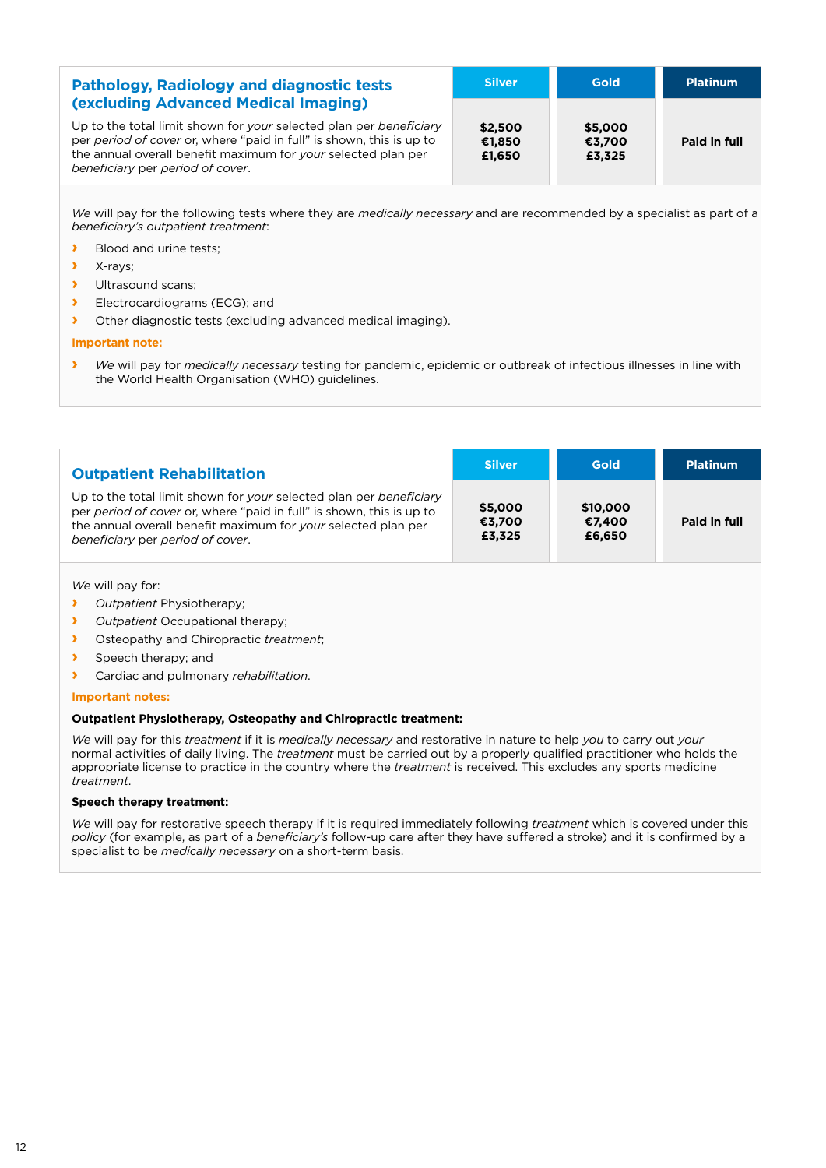| <b>Pathology, Radiology and diagnostic tests</b>                                                                                                                                                                                                                                               | <b>Silver</b>               | Gold                        | <b>Platinum</b> |
|------------------------------------------------------------------------------------------------------------------------------------------------------------------------------------------------------------------------------------------------------------------------------------------------|-----------------------------|-----------------------------|-----------------|
| <b>(excluding Advanced Medical Imaging)</b><br>Up to the total limit shown for your selected plan per beneficiary<br>per period of cover or, where "paid in full" is shown, this is up to<br>the annual overall benefit maximum for your selected plan per<br>beneficiary per period of cover. | \$2,500<br>€1.850<br>£1.650 | \$5,000<br>€3,700<br>£3,325 | Paid in full    |

*We* will pay for the following tests where they are *medically necessary* and are recommended by a specialist as part of a *beneficiary's outpatient treatment*:

**›** Blood and urine tests;

- **›** X-rays;
- **›** Ultrasound scans;
- **›** Electrocardiograms (ECG); and
- **›** Other diagnostic tests (excluding advanced medical imaging).

#### **Important note:**

**›** *We* will pay for *medically necessary* testing for pandemic, epidemic or outbreak of infectious illnesses in line with the World Health Organisation (WHO) guidelines.

| <b>Outpatient Rehabilitation</b>                                                                                                                                                                                                                | <b>Silver</b>               | <b>Gold</b>                  | <b>Platinum</b> |
|-------------------------------------------------------------------------------------------------------------------------------------------------------------------------------------------------------------------------------------------------|-----------------------------|------------------------------|-----------------|
| Up to the total limit shown for your selected plan per beneficiary<br>per period of cover or, where "paid in full" is shown, this is up to<br>the annual overall benefit maximum for your selected plan per<br>beneficiary per period of cover. | \$5,000<br>€3,700<br>£3,325 | \$10,000<br>€7,400<br>£6,650 | Paid in full    |

*We* will pay for:

- **›** *Outpatient* Physiotherapy;
- **›** *Outpatient* Occupational therapy;
- **›** Osteopathy and Chiropractic *treatment*;
- **›** Speech therapy; and
- **›** Cardiac and pulmonary *rehabilitation*.

#### **Important notes:**

#### **Outpatient Physiotherapy, Osteopathy and Chiropractic treatment:**

*We* will pay for this *treatment* if it is *medically necessary* and restorative in nature to help *you* to carry out *your* normal activities of daily living. The *treatment* must be carried out by a properly qualified practitioner who holds the appropriate license to practice in the country where the *treatment* is received. This excludes any sports medicine *treatment*.

#### **Speech therapy treatment:**

*We* will pay for restorative speech therapy if it is required immediately following *treatment* which is covered under this *policy* (for example, as part of a *beneficiary's* follow-up care after they have suffered a stroke) and it is confirmed by a specialist to be *medically necessary* on a short-term basis.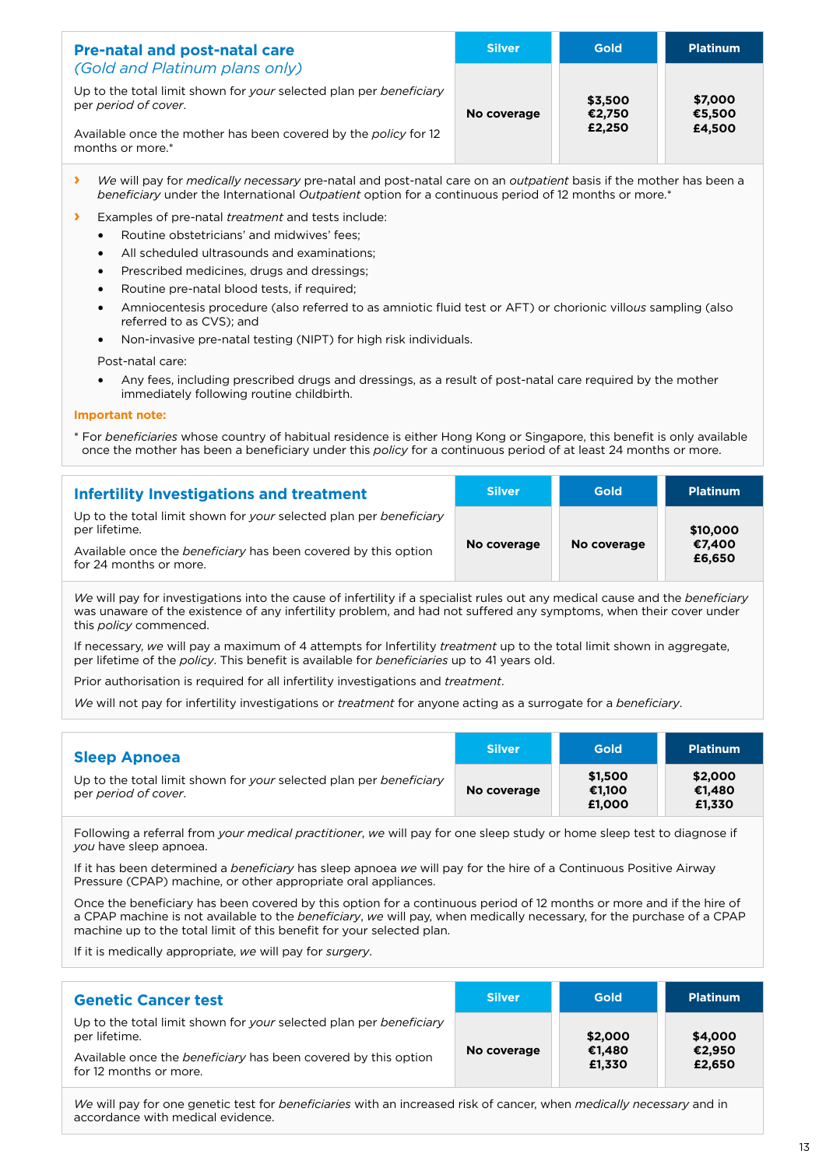| <b>Pre-natal and post-natal care</b>                                                       | <b>Silver</b> | <b>Gold</b>       | <b>Platinum</b>   |
|--------------------------------------------------------------------------------------------|---------------|-------------------|-------------------|
| (Gold and Platinum plans only)                                                             |               |                   |                   |
| Up to the total limit shown for your selected plan per beneficiary<br>per period of cover. | No coverage   | \$3,500<br>€2.750 | \$7,000<br>€5.500 |
| Available once the mother has been covered by the policy for 12<br>months or more.*        |               | £2,250            | £4,500            |

- **›** *We* will pay for *medically necessary* pre-natal and post-natal care on an *outpatient* basis if the mother has been a *beneficiary* under the International *Outpatient* option for a continuous period of 12 months or more.\*
- **›** Examples of pre-natal *treatment* and tests include:
	- Routine obstetricians' and midwives' fees;
	- All scheduled ultrasounds and examinations;
	- Prescribed medicines, drugs and dressings;
	- Routine pre-natal blood tests, if required;
	- Amniocentesis procedure (also referred to as amniotic fluid test or AFT) or chorionic villo*us* sampling (also referred to as CVS); and
	- Non-invasive pre-natal testing (NIPT) for high risk individuals.

Post-natal care:

• Any fees, including prescribed drugs and dressings, as a result of post-natal care required by the mother immediately following routine childbirth.

#### **Important note:**

\* For *beneficiaries* whose country of habitual residence is either Hong Kong or Singapore, this benefit is only available once the mother has been a beneficiary under this *policy* for a continuous period of at least 24 months or more.

| Infertility Investigations and treatment                                                 | <b>Silver</b> | <b>Gold</b> | <b>Platinum</b>  |
|------------------------------------------------------------------------------------------|---------------|-------------|------------------|
| Up to the total limit shown for your selected plan per beneficiary<br>per lifetime.      |               |             | \$10,000         |
| Available once the beneficiary has been covered by this option<br>for 24 months or more. | No coverage   | No coverage | €7.400<br>£6,650 |

*We* will pay for investigations into the cause of infertility if a specialist rules out any medical cause and the *beneficiary* was unaware of the existence of any infertility problem, and had not suffered any symptoms, when their cover under this *policy* commenced.

If necessary, *we* will pay a maximum of 4 attempts for Infertility *treatment* up to the total limit shown in aggregate, per lifetime of the *policy*. This benefit is available for *beneficiaries* up to 41 years old.

Prior authorisation is required for all infertility investigations and *treatment*.

*We* will not pay for infertility investigations or *treatment* for anyone acting as a surrogate for a *beneficiary*.

| <b>Sleep Apnoea</b>                                                                        | <b>Silver</b> | Gold                        | <b>Platinum</b>             |
|--------------------------------------------------------------------------------------------|---------------|-----------------------------|-----------------------------|
| Up to the total limit shown for your selected plan per beneficiary<br>per period of cover. | No coverage   | \$1.500<br>€1.100<br>£1.000 | \$2,000<br>€1,480<br>£1.330 |

Following a referral from *your medical practitioner*, *we* will pay for one sleep study or home sleep test to diagnose if *you* have sleep apnoea.

If it has been determined a *beneficiary* has sleep apnoea *we* will pay for the hire of a Continuous Positive Airway Pressure (CPAP) machine, or other appropriate oral appliances.

Once the beneficiary has been covered by this option for a continuous period of 12 months or more and if the hire of a CPAP machine is not available to the *beneficiary*, *we* will pay, when medically necessary, for the purchase of a CPAP machine up to the total limit of this benefit for your selected plan.

If it is medically appropriate, *we* will pay for *surgery*.

| <b>Genetic Cancer test</b>                                                               | <b>Silver</b> | <b>Gold</b>      | <b>Platinum</b>  |
|------------------------------------------------------------------------------------------|---------------|------------------|------------------|
| Up to the total limit shown for your selected plan per beneficiary<br>per lifetime.      |               | \$2,000          | \$4,000          |
| Available once the beneficiary has been covered by this option<br>for 12 months or more. | No coverage   | €1,480<br>£1,330 | €2.950<br>£2,650 |

*We* will pay for one genetic test for *beneficiaries* with an increased risk of cancer, when *medically necessary* and in accordance with medical evidence.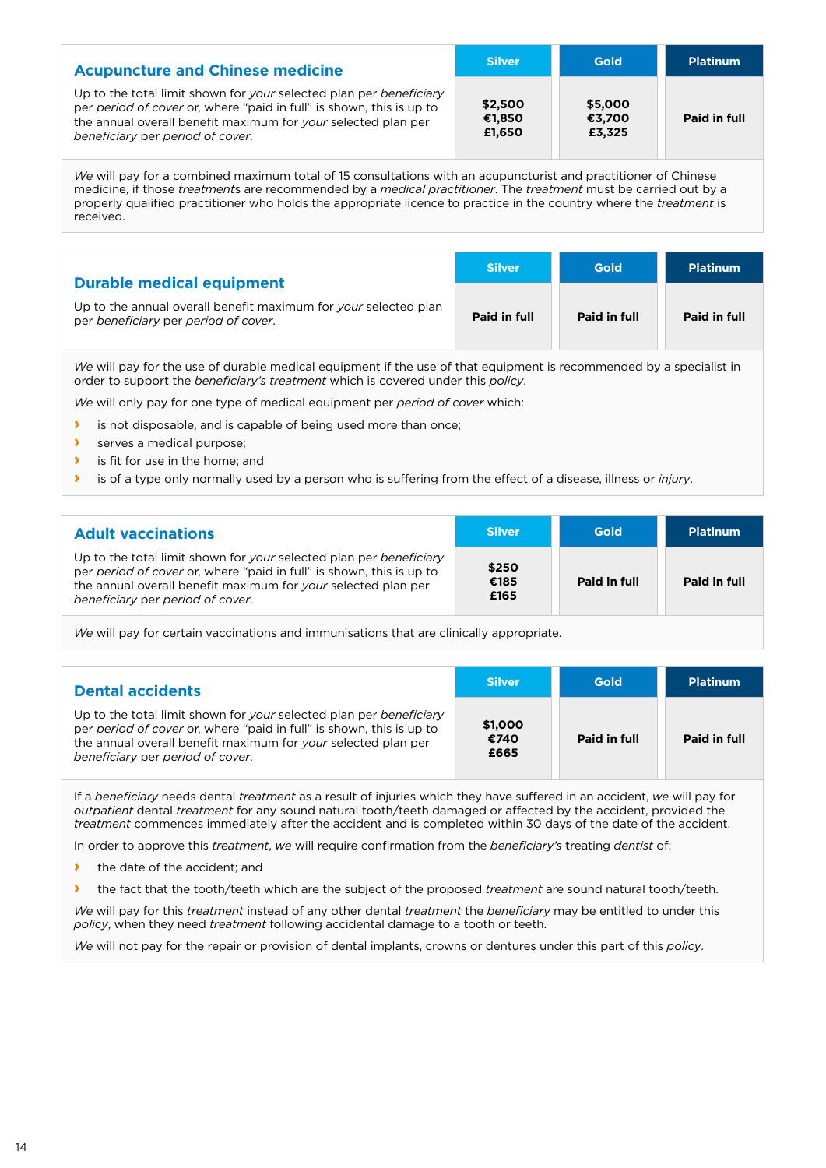| <b>Acupuncture and Chinese medicine</b>                                                                                                                                                                                                         | <b>Silver</b>               | <b>Gold</b>                 | <b>Platinum</b> |
|-------------------------------------------------------------------------------------------------------------------------------------------------------------------------------------------------------------------------------------------------|-----------------------------|-----------------------------|-----------------|
| Up to the total limit shown for your selected plan per beneficiary<br>per period of cover or, where "paid in full" is shown, this is up to<br>the annual overall benefit maximum for your selected plan per<br>beneficiary per period of cover. | \$2,500<br>€1,850<br>£1.650 | \$5,000<br>€3,700<br>£3,325 | Paid in full    |

*We* will pay for a combined maximum total of 15 consultations with an acupuncturist and practitioner of Chinese medicine, if those *treatment*s are recommended by a *medical practitioner*. The *treatment* must be carried out by a properly qualified practitioner who holds the appropriate licence to practice in the country where the *treatment* is received.

| <b>Durable medical equipment</b>                                                                        | <b>Silver</b> | <b>Gold</b>  | <b>Platinum</b> |
|---------------------------------------------------------------------------------------------------------|---------------|--------------|-----------------|
| Up to the annual overall benefit maximum for your selected plan<br>per beneficiary per period of cover. | Paid in full  | Paid in full | Paid in full    |

*We* will pay for the use of durable medical equipment if the use of that equipment is recommended by a specialist in order to support the *beneficiary's treatment* which is covered under this *policy*.

*We* will only pay for one type of medical equipment per *period of cover* which:

- **›** is not disposable, and is capable of being used more than once;
- **›** serves a medical purpose;
- **›** is fit for use in the home; and
- **›** is of a type only normally used by a person who is suffering from the effect of a disease, illness or *injury*.

| <b>Adult vaccinations</b>                                                                                                                                                                                                                       | <b>Silver</b>         | Gold         | <b>Platinum</b> |
|-------------------------------------------------------------------------------------------------------------------------------------------------------------------------------------------------------------------------------------------------|-----------------------|--------------|-----------------|
| Up to the total limit shown for your selected plan per beneficiary<br>per period of cover or, where "paid in full" is shown, this is up to<br>the annual overall benefit maximum for your selected plan per<br>beneficiary per period of cover. | \$250<br>€185<br>£165 | Paid in full | Paid in full    |
|                                                                                                                                                                                                                                                 |                       |              |                 |

*We* will pay for certain vaccinations and immunisations that are clinically appropriate.

| <b>Dental accidents</b>                                                                                                                                                                                                                         | <b>Silver</b>           | Gold         | <b>Platinum</b> |
|-------------------------------------------------------------------------------------------------------------------------------------------------------------------------------------------------------------------------------------------------|-------------------------|--------------|-----------------|
| Up to the total limit shown for your selected plan per beneficiary<br>per period of cover or, where "paid in full" is shown, this is up to<br>the annual overall benefit maximum for your selected plan per<br>beneficiary per period of cover. | \$1,000<br>€740<br>£665 | Paid in full | Paid in full    |

If a *beneficiary* needs dental *treatment* as a result of injuries which they have suffered in an accident, *we* will pay for *outpatient* dental *treatment* for any sound natural tooth/teeth damaged or affected by the accident, provided the *treatment* commences immediately after the accident and is completed within 30 days of the date of the accident.

In order to approve this *treatment*, *we* will require confirmation from the *beneficiary's* treating *dentist* of:

- **›** the date of the accident; and
- **›** the fact that the tooth/teeth which are the subject of the proposed *treatment* are sound natural tooth/teeth.

*We* will pay for this *treatment* instead of any other dental *treatment* the *beneficiary* may be entitled to under this *policy*, when they need *treatment* following accidental damage to a tooth or teeth.

*We* will not pay for the repair or provision of dental implants, crowns or dentures under this part of this *policy*.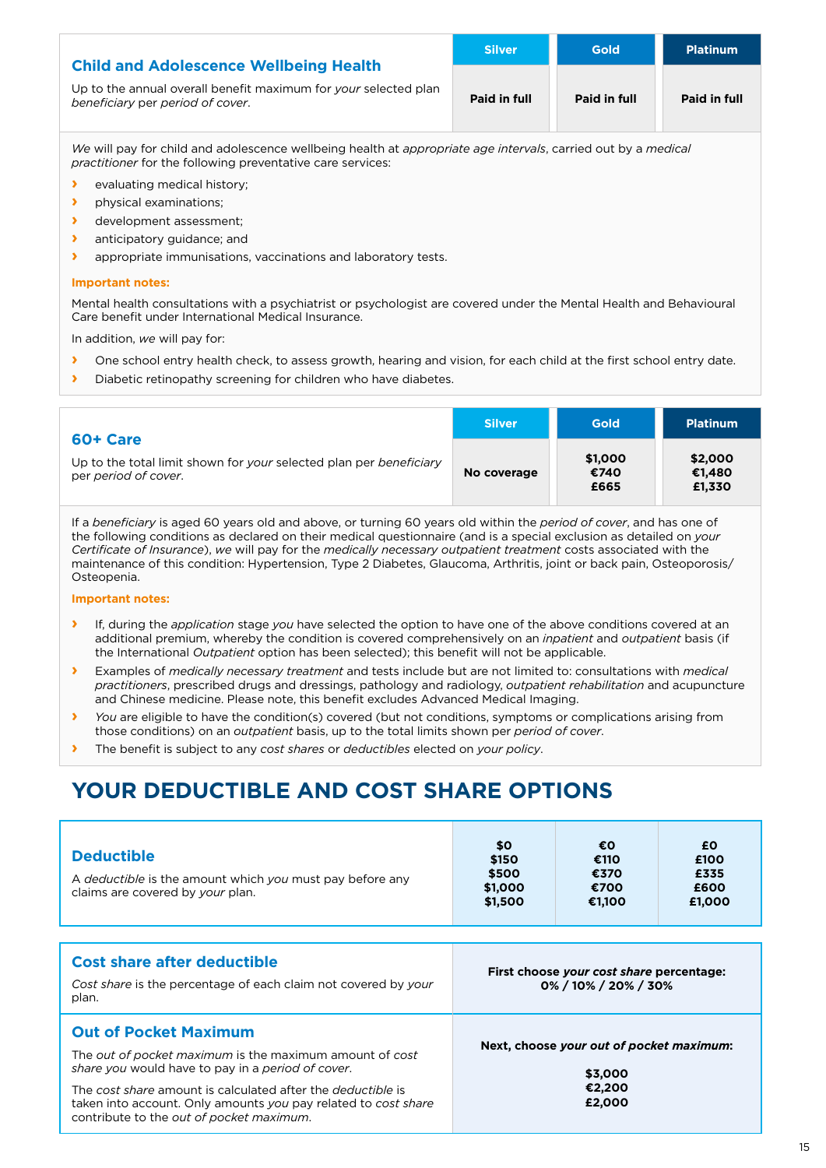| <b>Child and Adolescence Wellbeing Health</b>                                                       | <b>Silver</b> | <b>Gold</b>  | <b>Platinum</b> |
|-----------------------------------------------------------------------------------------------------|---------------|--------------|-----------------|
| Up to the annual overall benefit maximum for your selected plan<br>beneficiary per period of cover. | Paid in full  | Paid in full | Paid in full    |

*We* will pay for child and adolescence wellbeing health at *appropriate age intervals*, carried out by a *medical practitioner* for the following preventative care services:

- **›** evaluating medical history;
- **›** physical examinations;
- **›** development assessment;
- **›** anticipatory guidance; and
- **›** appropriate immunisations, vaccinations and laboratory tests.

#### **Important notes:**

Mental health consultations with a psychiatrist or psychologist are covered under the Mental Health and Behavioural Care benefit under International Medical Insurance.

In addition, *we* will pay for:

- **›** One school entry health check, to assess growth, hearing and vision, for each child at the first school entry date.
- **›** Diabetic retinopathy screening for children who have diabetes.

| 60+ Care                                                                                   | <b>Silver</b> | <b>Gold</b>             | <b>Platinum</b>             |
|--------------------------------------------------------------------------------------------|---------------|-------------------------|-----------------------------|
| Up to the total limit shown for your selected plan per beneficiary<br>per period of cover. | No coverage   | \$1,000<br>€740<br>£665 | \$2,000<br>€1.480<br>£1,330 |

If a *beneficiary* is aged 60 years old and above, or turning 60 years old within the *period of cover*, and has one of the following conditions as declared on their medical questionnaire (and is a special exclusion as detailed on *your Certificate of Insurance*), *we* will pay for the *medically necessary outpatient treatment* costs associated with the maintenance of this condition: Hypertension, Type 2 Diabetes, Glaucoma, Arthritis, joint or back pain, Osteoporosis/ Osteopenia.

#### **Important notes:**

- **›** If, during the *application* stage *you* have selected the option to have one of the above conditions covered at an additional premium, whereby the condition is covered comprehensively on an *inpatient* and *outpatient* basis (if the International *Outpatient* option has been selected); this benefit will not be applicable.
- **›** Examples of *medically necessary treatment* and tests include but are not limited to: consultations with *medical practitioners*, prescribed drugs and dressings, pathology and radiology, *outpatient rehabilitation* and acupuncture and Chinese medicine. Please note, this benefit excludes Advanced Medical Imaging.
- **›** *You* are eligible to have the condition(s) covered (but not conditions, symptoms or complications arising from those conditions) on an *outpatient* basis, up to the total limits shown per *period of cover*.
- **›** The benefit is subject to any *cost shares* or *deductibles* elected on *your policy*.

## **YOUR DEDUCTIBLE AND COST SHARE OPTIONS**

| <b>Deductible</b><br>A deductible is the amount which you must pay before any<br>claims are covered by your plan.                                                                                                                                                                                                                | \$0<br>\$150<br>\$500<br>\$1,000<br>\$1,500                         | €O<br>€110<br>€370<br>€700<br>€1,100                                    | £0.<br>£100<br>£335<br>£600<br>£1,000 |  |
|----------------------------------------------------------------------------------------------------------------------------------------------------------------------------------------------------------------------------------------------------------------------------------------------------------------------------------|---------------------------------------------------------------------|-------------------------------------------------------------------------|---------------------------------------|--|
| <b>Cost share after deductible</b><br>Cost share is the percentage of each claim not covered by your<br>plan.                                                                                                                                                                                                                    | First choose your cost share percentage:<br>$0\%$ / 10% / 20% / 30% |                                                                         |                                       |  |
| <b>Out of Pocket Maximum</b><br>The out of pocket maximum is the maximum amount of cost<br>share you would have to pay in a period of cover.<br>The cost share amount is calculated after the <i>deductible</i> is<br>taken into account. Only amounts you pay related to cost share<br>contribute to the out of pocket maximum. |                                                                     | Next, choose your out of pocket maximum:<br>\$3,000<br>€2,200<br>£2,000 |                                       |  |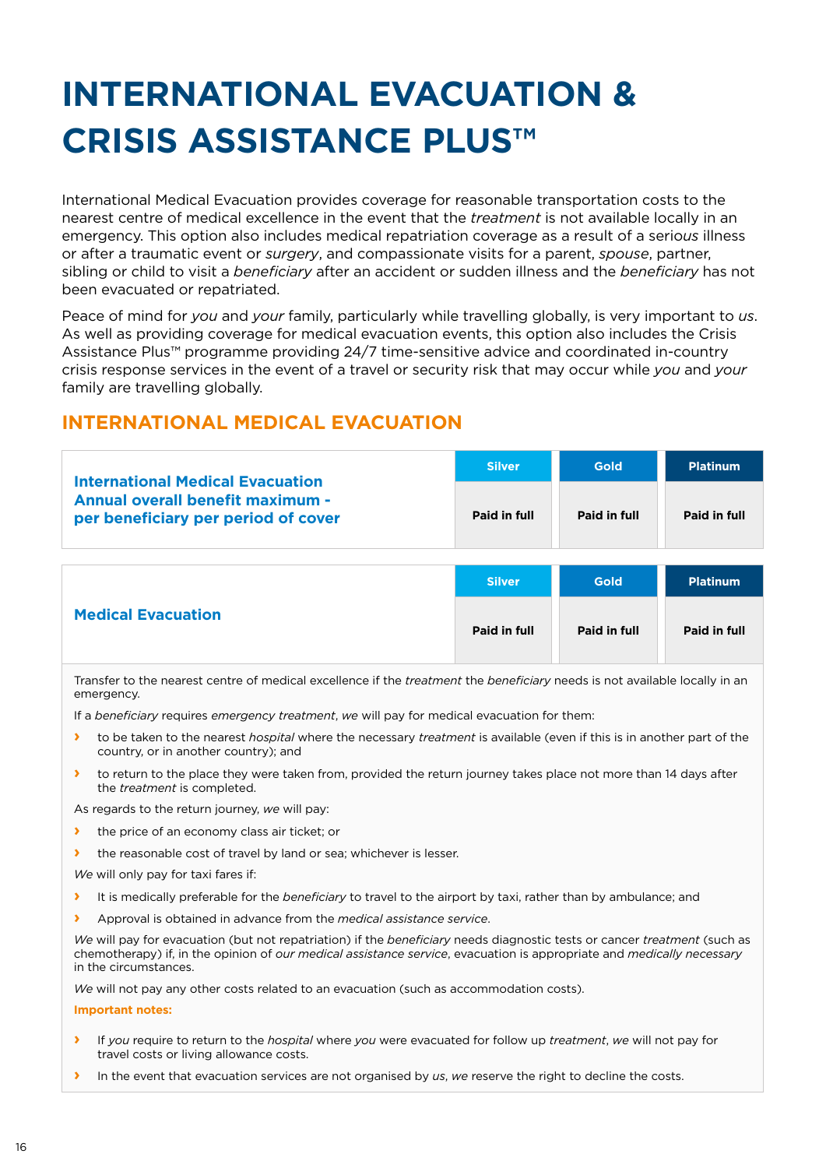# **INTERNATIONAL EVACUATION & CRISIS ASSISTANCE PLUS™**

International Medical Evacuation provides coverage for reasonable transportation costs to the nearest centre of medical excellence in the event that the *treatment* is not available locally in an emergency. This option also includes medical repatriation coverage as a result of a serio*us* illness or after a traumatic event or *surgery*, and compassionate visits for a parent, *spouse*, partner, sibling or child to visit a *beneficiary* after an accident or sudden illness and the *beneficiary* has not been evacuated or repatriated.

Peace of mind for *you* and *your* family, particularly while travelling globally, is very important to *us*. As well as providing coverage for medical evacuation events, this option also includes the Crisis Assistance Plus™ programme providing 24/7 time-sensitive advice and coordinated in-country crisis response services in the event of a travel or security risk that may occur while *you* and *your* family are travelling globally.

## **INTERNATIONAL MEDICAL EVACUATION**

| <b>Silver</b> | <b>Gold</b>  | <b>Platinum</b> |
|---------------|--------------|-----------------|
| Paid in full  | Paid in full | Paid in full    |
|               |              |                 |
|               |              |                 |

|                           | <b>Silver</b> | <b>Gold</b>  | <b>Platinum</b> |
|---------------------------|---------------|--------------|-----------------|
| <b>Medical Evacuation</b> | Paid in full  | Paid in full | Paid in full    |

Transfer to the nearest centre of medical excellence if the *treatment* the *beneficiary* needs is not available locally in an emergency.

If a *beneficiary* requires *emergency treatment*, *we* will pay for medical evacuation for them:

- **›** to be taken to the nearest *hospital* where the necessary *treatment* is available (even if this is in another part of the country, or in another country); and
- **›** to return to the place they were taken from, provided the return journey takes place not more than 14 days after the *treatment* is completed.

As regards to the return journey, *we* will pay:

- **›** the price of an economy class air ticket; or
- the reasonable cost of travel by land or sea; whichever is lesser.
- *We* will only pay for taxi fares if:
- **›** It is medically preferable for the *beneficiary* to travel to the airport by taxi, rather than by ambulance; and
- **›** Approval is obtained in advance from the *medical assistance service*.

*We* will pay for evacuation (but not repatriation) if the *beneficiary* needs diagnostic tests or cancer *treatment* (such as chemotherapy) if, in the opinion of *our medical assistance service*, evacuation is appropriate and *medically necessary* in the circumstances.

*We* will not pay any other costs related to an evacuation (such as accommodation costs).

**Important notes:**

- **›** If *you* require to return to the *hospital* where *you* were evacuated for follow up *treatment*, *we* will not pay for travel costs or living allowance costs.
- **›** In the event that evacuation services are not organised by *us*, *we* reserve the right to decline the costs.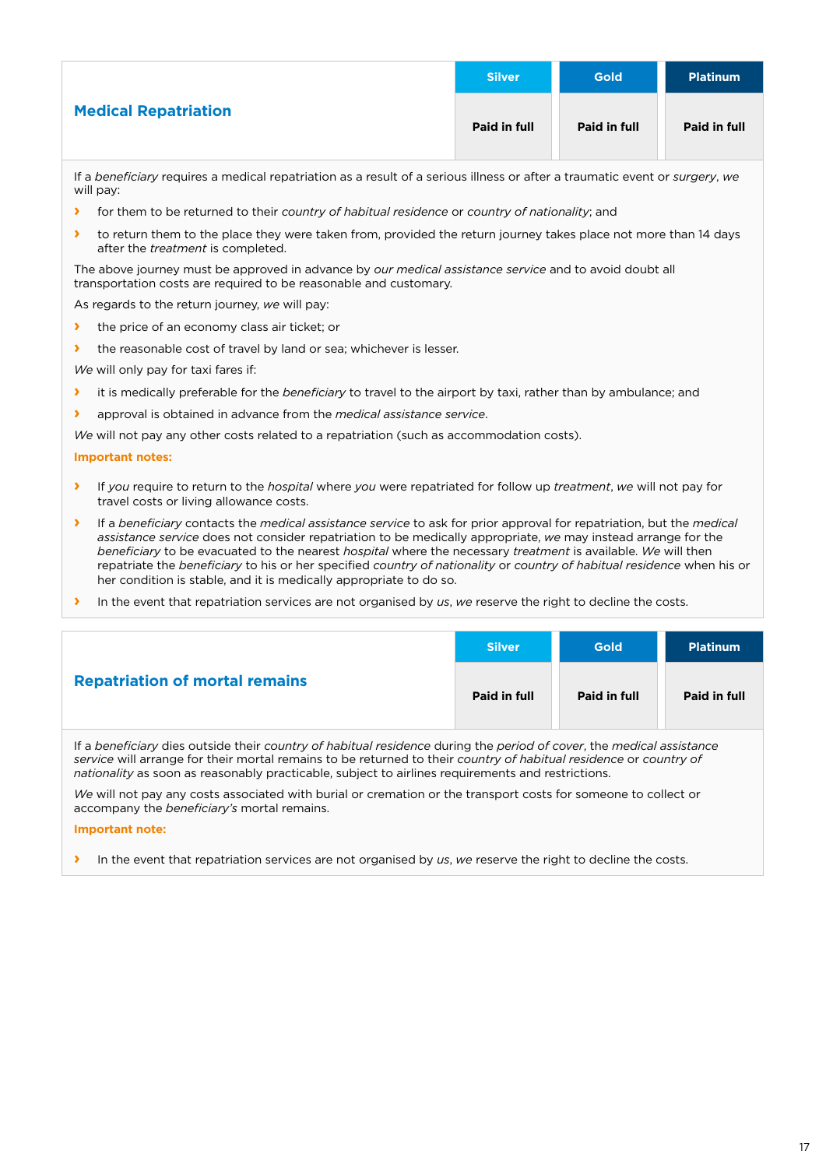|                             | <b>Silver</b> | <b>Gold</b>  | <b>Platinum</b> |
|-----------------------------|---------------|--------------|-----------------|
| <b>Medical Repatriation</b> | Paid in full  | Paid in full | Paid in full    |

If a *beneficiary* requires a medical repatriation as a result of a serious illness or after a traumatic event or *surgery*, *we*  will pay:

- **›** for them to be returned to their *country of habitual residence* or *country of nationality*; and
- **›** to return them to the place they were taken from, provided the return journey takes place not more than 14 days after the *treatment* is completed.

The above journey must be approved in advance by *our medical assistance service* and to avoid doubt all transportation costs are required to be reasonable and customary.

As regards to the return journey, *we* will pay:

- **›** the price of an economy class air ticket; or
- **›** the reasonable cost of travel by land or sea; whichever is lesser.

*We* will only pay for taxi fares if:

- **›** it is medically preferable for the *beneficiary* to travel to the airport by taxi, rather than by ambulance; and
- **›** approval is obtained in advance from the *medical assistance service*.
- *We* will not pay any other costs related to a repatriation (such as accommodation costs).

#### **Important notes:**

- **›** If *you* require to return to the *hospital* where *you* were repatriated for follow up *treatment*, *we* will not pay for travel costs or living allowance costs.
- **›** If a *beneficiary* contacts the *medical assistance service* to ask for prior approval for repatriation, but the *medical assistance service* does not consider repatriation to be medically appropriate, *we* may instead arrange for the *beneficiary* to be evacuated to the nearest *hospital* where the necessary *treatment* is available. *We* will then repatriate the *beneficiary* to his or her specified *country of nationality* or *country of habitual residence* when his or her condition is stable, and it is medically appropriate to do so.
- **›** In the event that repatriation services are not organised by *us*, *we* reserve the right to decline the costs.

|                                       | <b>Silver</b> | <b>Gold</b>  | <b>Platinum</b> |
|---------------------------------------|---------------|--------------|-----------------|
| <b>Repatriation of mortal remains</b> | Paid in full  | Paid in full | Paid in full    |
| $\mathbf{r}$ $\mathbf{r}$             |               |              |                 |

If a *beneficiary* dies outside their *country of habitual residence* during the *period of cover*, the *medical assistance service* will arrange for their mortal remains to be returned to their *country of habitual residence* or *country of nationality* as soon as reasonably practicable, subject to airlines requirements and restrictions.

*We* will not pay any costs associated with burial or cremation or the transport costs for someone to collect or accompany the *beneficiary's* mortal remains.

#### **Important note:**

**›** In the event that repatriation services are not organised by *us*, *we* reserve the right to decline the costs.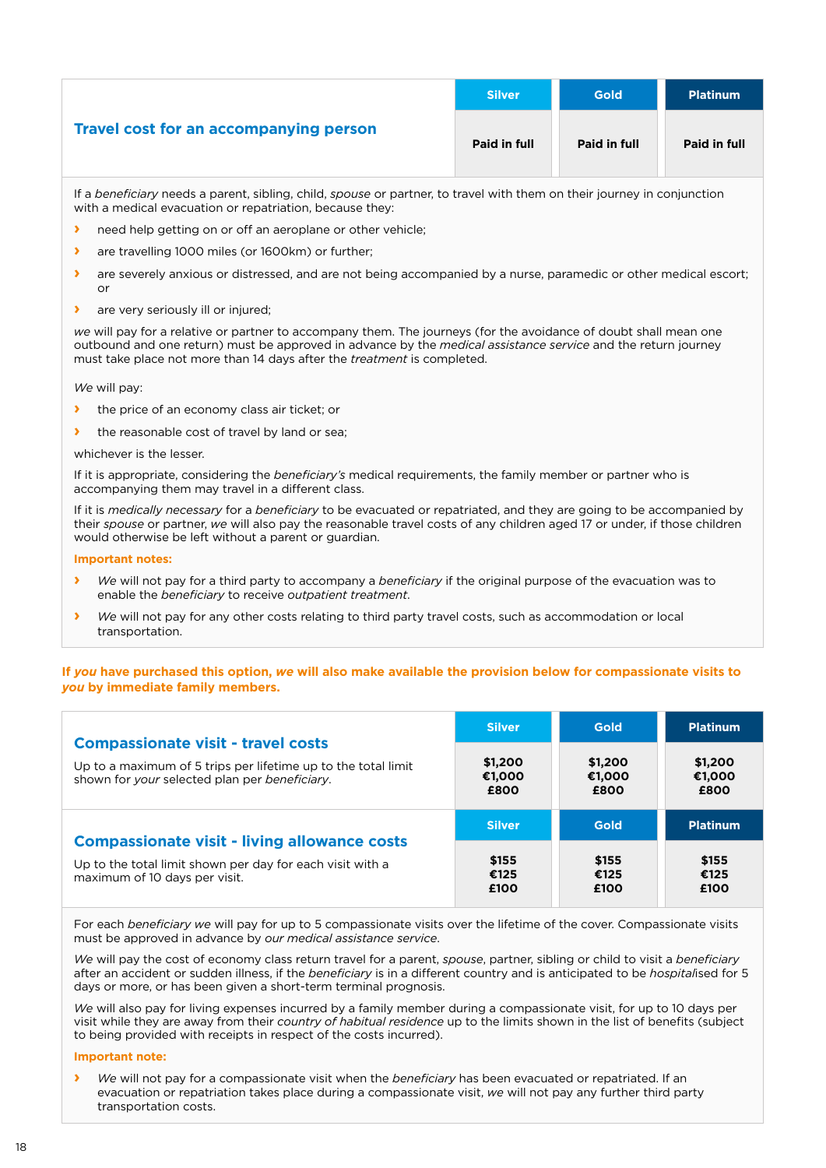|                                        | <b>Silver</b> | <b>Gold</b>  | <b>Platinum</b> |
|----------------------------------------|---------------|--------------|-----------------|
| Travel cost for an accompanying person | Paid in full  | Paid in full | Paid in full    |

If a *beneficiary* needs a parent, sibling, child, *spouse* or partner, to travel with them on their journey in conjunction with a medical evacuation or repatriation, because they:

- **›** need help getting on or off an aeroplane or other vehicle;
- **›** are travelling 1000 miles (or 1600km) or further;
- **›** are severely anxious or distressed, and are not being accompanied by a nurse, paramedic or other medical escort; or
- **›** are very seriously ill or injured;

*we* will pay for a relative or partner to accompany them. The journeys (for the avoidance of doubt shall mean one outbound and one return) must be approved in advance by the *medical assistance service* and the return journey must take place not more than 14 days after the *treatment* is completed.

*We* will pay:

- **›** the price of an economy class air ticket; or
- the reasonable cost of travel by land or sea;

whichever is the lesser.

If it is appropriate, considering the *beneficiary's* medical requirements, the family member or partner who is accompanying them may travel in a different class.

If it is *medically necessary* for a *beneficiary* to be evacuated or repatriated, and they are going to be accompanied by their *spouse* or partner, *we* will also pay the reasonable travel costs of any children aged 17 or under, if those children would otherwise be left without a parent or guardian.

#### **Important notes:**

- **›** *We* will not pay for a third party to accompany a *beneficiary* if the original purpose of the evacuation was to enable the *beneficiary* to receive *outpatient treatment*.
- **›** *We* will not pay for any other costs relating to third party travel costs, such as accommodation or local transportation.

#### **If** *you* **have purchased this option,** *we* **will also make available the provision below for compassionate visits to**  *you* **by immediate family members.**

|                                                               | <b>Silver</b> | <b>Gold</b> | <b>Platinum</b> |
|---------------------------------------------------------------|---------------|-------------|-----------------|
| <b>Compassionate visit - travel costs</b>                     | \$1,200       | \$1,200     | \$1,200         |
| Up to a maximum of 5 trips per lifetime up to the total limit | €1,000        | €1,000      | €1,000          |
| shown for your selected plan per beneficiary.                 | £800          | £800        | £800            |
|                                                               | <b>Silver</b> | Gold        | <b>Platinum</b> |
| <b>Compassionate visit - living allowance costs</b>           | \$155         | \$155       | \$155           |
| Up to the total limit shown per day for each visit with a     | €125          | €125        | €125            |
| maximum of 10 days per visit.                                 | £100          | £100        | £100            |

For each *beneficiary we* will pay for up to 5 compassionate visits over the lifetime of the cover. Compassionate visits must be approved in advance by *our medical assistance service*.

*We* will pay the cost of economy class return travel for a parent, *spouse*, partner, sibling or child to visit a *beneficiary* after an accident or sudden illness, if the *beneficiary* is in a different country and is anticipated to be *hospital*ised for 5 days or more, or has been given a short-term terminal prognosis.

*We* will also pay for living expenses incurred by a family member during a compassionate visit, for up to 10 days per visit while they are away from their *country of habitual residence* up to the limits shown in the list of benefits (subject to being provided with receipts in respect of the costs incurred).

#### **Important note:**

**›** *We* will not pay for a compassionate visit when the *beneficiary* has been evacuated or repatriated. If an evacuation or repatriation takes place during a compassionate visit, *we* will not pay any further third party transportation costs.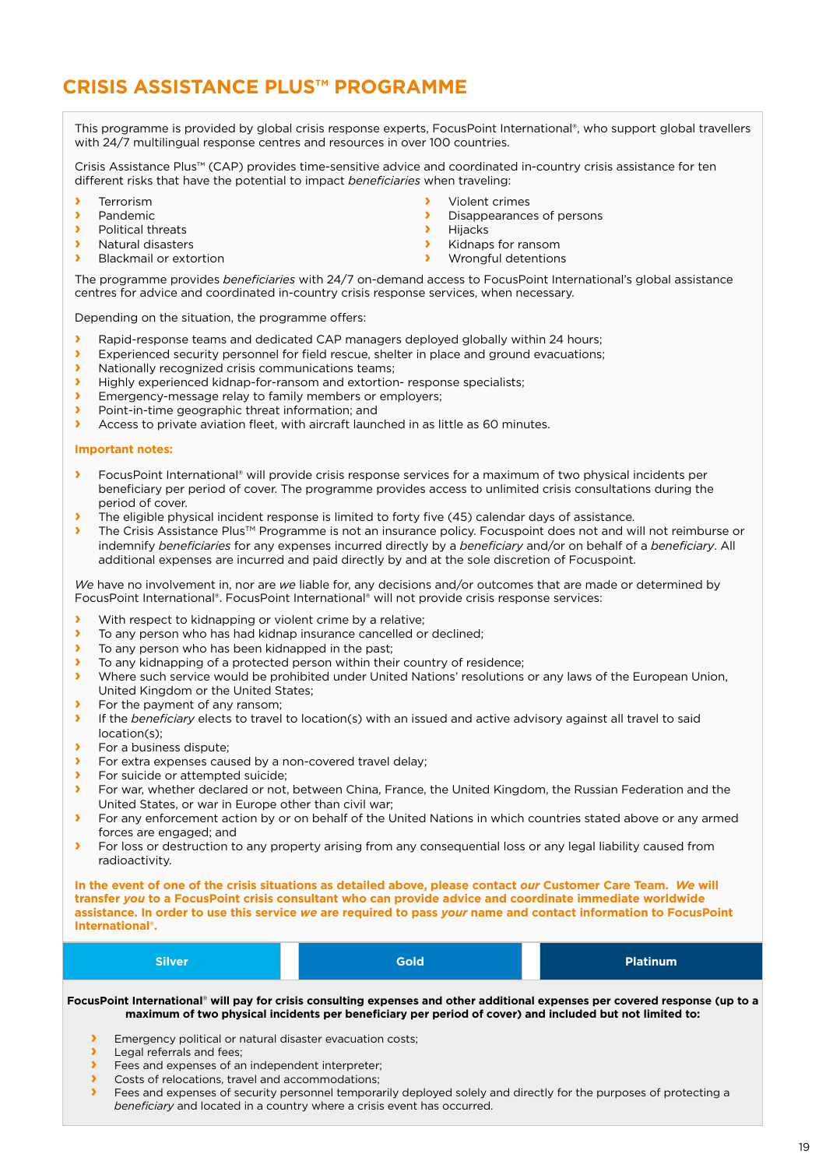## **CRISIS ASSISTANCE PLUS™ PROGRAMME**

This programme is provided by global crisis response experts, FocusPoint International®, who support global travellers with 24/7 multilingual response centres and resources in over 100 countries.

Crisis Assistance Plus™ (CAP) provides time-sensitive advice and coordinated in-country crisis assistance for ten different risks that have the potential to impact *beneficiaries* when traveling:

- **›** Terrorism
- **›** Pandemic
- **›** Political threats
- **›** Natural disasters
- **›** Blackmail or extortion
- **›** Violent crimes
- **›** Disappearances of persons
- **›** Hijacks
- **›** Kidnaps for ransom
- **›** Wrongful detentions

The programme provides *beneficiaries* with 24/7 on-demand access to FocusPoint International's global assistance centres for advice and coordinated in-country crisis response services, when necessary.

Depending on the situation, the programme offers:

- **I** Rapid-response teams and dedicated CAP managers deployed globally within 24 hours;<br>Experienced security personnel for field rescuel shelter in place and ground evacuations:
- **›** Experienced security personnel for field rescue, shelter in place and ground evacuations;
- **›** Nationally recognized crisis communications teams;
- **›** Highly experienced kidnap-for-ransom and extortion- response specialists;
- **›** Emergency-message relay to family members or employers;
- **›** Point-in-time geographic threat information; and
- **›** Access to private aviation fleet, with aircraft launched in as little as 60 minutes.

#### **Important notes:**

- **›** FocusPoint International® will provide crisis response services for a maximum of two physical incidents per beneficiary per period of cover. The programme provides access to unlimited crisis consultations during the period of cover.
- **›** The eligible physical incident response is limited to forty five (45) calendar days of assistance.
- **›** The Crisis Assistance Plus<sup>™</sup> Programme is not an insurance policy. Focuspoint does not and will not reimburse or indemnify *beneficiaries* for any expenses incurred directly by a *beneficiary* and/or on behalf of a *beneficiary*. All additional expenses are incurred and paid directly by and at the sole discretion of Focuspoint.

*We* have no involvement in, nor are *we* liable for, any decisions and/or outcomes that are made or determined by FocusPoint International®. FocusPoint International® will not provide crisis response services:

- **›** With respect to kidnapping or violent crime by a relative;
- **›** To any person who has had kidnap insurance cancelled or declined;
- **›** To any person who has been kidnapped in the past;
- **›** To any kidnapping of a protected person within their country of residence;
- **›** Where such service would be prohibited under United Nations' resolutions or any laws of the European Union, United Kingdom or the United States;
- **›** For the payment of any ransom;<br>**›** If the *heneficiary* elects to travel
- **›** If the *beneficiary* elects to travel to location(s) with an issued and active advisory against all travel to said location(s);
- **›** For a business dispute;
- **›** For extra expenses caused by a non-covered travel delay;
- **›** For suicide or attempted suicide;
- **›** For war, whether declared or not, between China, France, the United Kingdom, the Russian Federation and the United States, or war in Europe other than civil war;
- **›** For any enforcement action by or on behalf of the United Nations in which countries stated above or any armed forces are engaged; and
- **›** For loss or destruction to any property arising from any consequential loss or any legal liability caused from radioactivity.

**In the event of one of the crisis situations as detailed above, please contact** *our* **Customer Care Team.** *We* **will transfer** *you* **to a FocusPoint crisis consultant who can provide advice and coordinate immediate worldwide assistance. In order to use this service** *we* **are required to pass** *your* **name and contact information to FocusPoint International®.**

| <b>Silver</b> | <b>Gold</b> | <b>Platinum</b> |
|---------------|-------------|-----------------|

**FocusPoint International**® **will pay for crisis consulting expenses and other additional expenses per covered response (up to a maximum of two physical incidents per beneficiary per period of cover) and included but not limited to:**

- **›** Emergency political or natural disaster evacuation costs;
- Legal referrals and fees:
- **›** Fees and expenses of an independent interpreter;
- **›** Costs of relocations, travel and accommodations;
- **›** Fees and expenses of security personnel temporarily deployed solely and directly for the purposes of protecting a *beneficiary* and located in a country where a crisis event has occurred.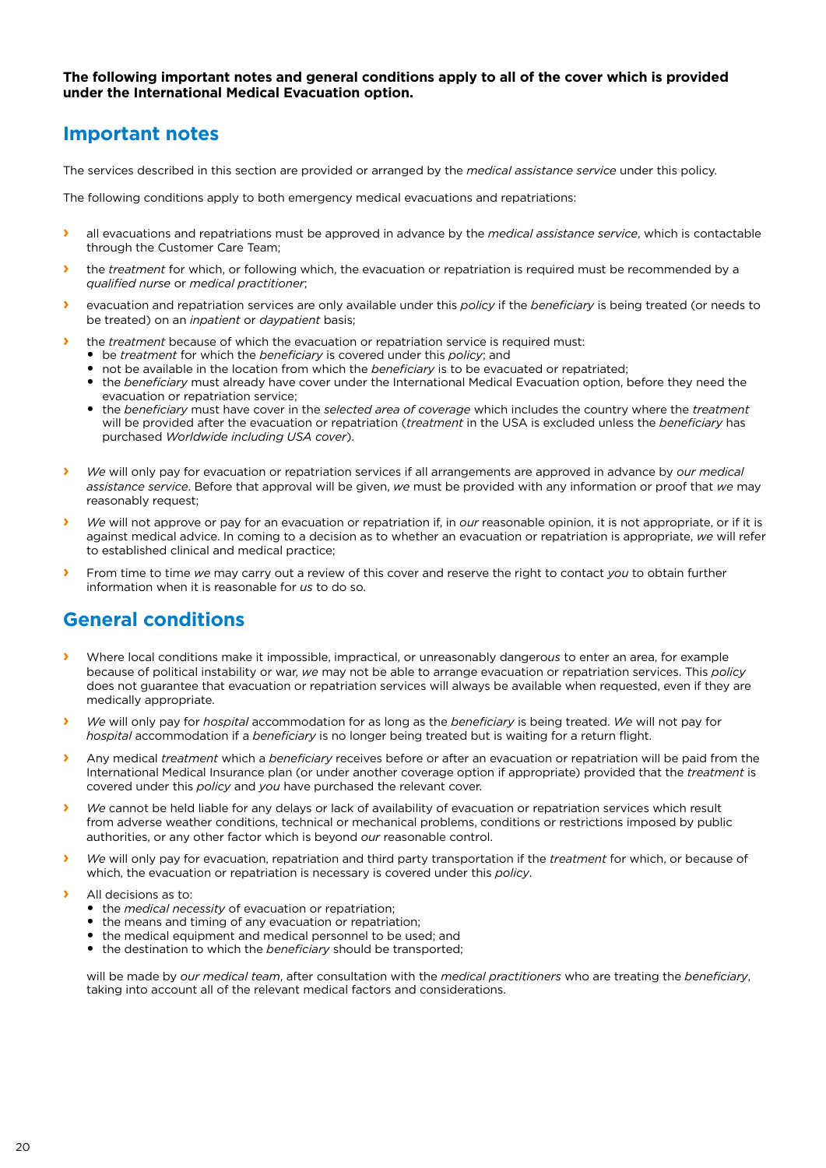#### **The following important notes and general conditions apply to all of the cover which is provided under the International Medical Evacuation option.**

## **Important notes**

The services described in this section are provided or arranged by the *medical assistance service* under this policy.

The following conditions apply to both emergency medical evacuations and repatriations:

- **›** all evacuations and repatriations must be approved in advance by the *medical assistance service*, which is contactable through the Customer Care Team;
- **›** the *treatment* for which, or following which, the evacuation or repatriation is required must be recommended by a *qualified nurse* or *medical practitioner*;
- **›** evacuation and repatriation services are only available under this *policy* if the *beneficiary* is being treated (or needs to be treated) on an *inpatient* or *daypatient* basis;
- the *treatment* because of which the evacuation or repatriation service is required must:
	- be *treatment* for which the *beneficiary* is covered under this *policy*; and
	- not be available in the location from which the *beneficiary* is to be evacuated or repatriated;
	- the *beneficiary* must already have cover under the International Medical Evacuation option, before they need the evacuation or repatriation service;
	- the *beneficiary* must have cover in the *selected area of coverage* which includes the country where the *treatment* will be provided after the evacuation or repatriation (*treatment* in the USA is excluded unless the *beneficiary* has purchased *Worldwide including USA cover*).
- **›** *We* will only pay for evacuation or repatriation services if all arrangements are approved in advance by *our medical assistance service*. Before that approval will be given, *we* must be provided with any information or proof that *we* may reasonably request;
- **›** *We* will not approve or pay for an evacuation or repatriation if, in *our* reasonable opinion, it is not appropriate, or if it is against medical advice. In coming to a decision as to whether an evacuation or repatriation is appropriate, *we* will refer to established clinical and medical practice;
- **›** From time to time *we* may carry out a review of this cover and reserve the right to contact *you* to obtain further information when it is reasonable for *us* to do so.

## **General conditions**

- **›** Where local conditions make it impossible, impractical, or unreasonably dangero*us* to enter an area, for example because of political instability or war, *we* may not be able to arrange evacuation or repatriation services. This *policy* does not guarantee that evacuation or repatriation services will always be available when requested, even if they are medically appropriate.
- **›** *We* will only pay for *hospital* accommodation for as long as the *beneficiary* is being treated. *We* will not pay for *hospital* accommodation if a *beneficiary* is no longer being treated but is waiting for a return flight.
- **›** Any medical *treatment* which a *beneficiary* receives before or after an evacuation or repatriation will be paid from the International Medical Insurance plan (or under another coverage option if appropriate) provided that the *treatment* is covered under this *policy* and *you* have purchased the relevant cover.
- **›** *We* cannot be held liable for any delays or lack of availability of evacuation or repatriation services which result from adverse weather conditions, technical or mechanical problems, conditions or restrictions imposed by public authorities, or any other factor which is beyond *our* reasonable control.
- **›** *We* will only pay for evacuation, repatriation and third party transportation if the *treatment* for which, or because of which, the evacuation or repatriation is necessary is covered under this *policy*.
- **›** All decisions as to:
	- the *medical necessity* of evacuation or repatriation;
	- the means and timing of any evacuation or repatriation;
	- the medical equipment and medical personnel to be used; and
	- the destination to which the *beneficiary* should be transported;

will be made by *our medical team*, after consultation with the *medical practitioners* who are treating the *beneficiary*, taking into account all of the relevant medical factors and considerations.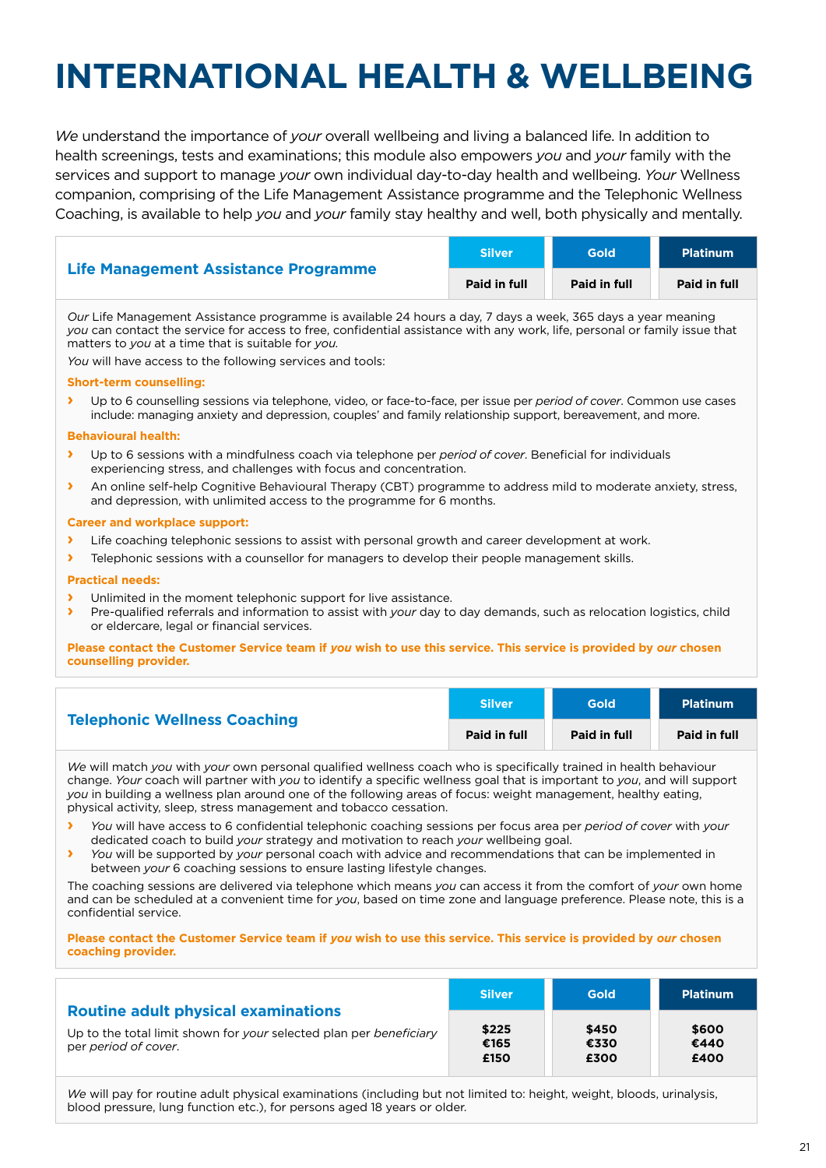# **INTERNATIONAL HEALTH & WELLBEING**

*We* understand the importance of *your* overall wellbeing and living a balanced life. In addition to health screenings, tests and examinations; this module also empowers *you* and *your* family with the services and support to manage *your* own individual day-to-day health and wellbeing. *Your* Wellness companion, comprising of the Life Management Assistance programme and the Telephonic Wellness Coaching, is available to help *you* and *your* family stay healthy and well, both physically and mentally.

| Life Management Assistance Programme | <b>Silver</b> | Gold         | <b>Platinum</b> |
|--------------------------------------|---------------|--------------|-----------------|
|                                      | Paid in full  | Paid in full | Paid in full    |

*Our* Life Management Assistance programme is available 24 hours a day, 7 days a week, 365 days a year meaning *you* can contact the service for access to free, confidential assistance with any work, life, personal or family issue that matters to *you* at a time that is suitable for *you.*

*You* will have access to the following services and tools:

#### **Short-term counselling:**

**›** Up to 6 counselling sessions via telephone, video, or face-to-face, per issue per *period of cover*. Common use cases include: managing anxiety and depression, couples' and family relationship support, bereavement, and more.

#### **Behavioural health:**

- **›** Up to 6 sessions with a mindfulness coach via telephone per *period of cover*. Beneficial for individuals experiencing stress, and challenges with focus and concentration.
- **›** An online self-help Cognitive Behavioural Therapy (CBT) programme to address mild to moderate anxiety, stress, and depression, with unlimited access to the programme for 6 months.

#### **Career and workplace support:**

- **›** Life coaching telephonic sessions to assist with personal growth and career development at work.
- **›** Telephonic sessions with a counsellor for managers to develop their people management skills.

#### **Practical needs:**

- **›** Unlimited in the moment telephonic support for live assistance.
- **›** Pre-qualified referrals and information to assist with *your* day to day demands, such as relocation logistics, child or eldercare, legal or financial services.

#### **Please contact the Customer Service team if** *you* **wish to use this service. This service is provided by** *our* **chosen counselling provider.**

| <b>Telephonic Wellness Coaching</b> | <b>Silver</b> | <b>Gold</b>  | <b>Platinum</b> |
|-------------------------------------|---------------|--------------|-----------------|
|                                     | Paid in full  | Paid in full | Paid in full    |

*We* will match *you* with *your* own personal qualified wellness coach who is specifically trained in health behaviour change. *Your* coach will partner with *you* to identify a specific wellness goal that is important to *you*, and will support *you* in building a wellness plan around one of the following areas of focus: weight management, healthy eating, physical activity, sleep, stress management and tobacco cessation.

- **›** *You* will have access to 6 confidential telephonic coaching sessions per focus area per *period of cover* with *your* dedicated coach to build *your* strategy and motivation to reach *your* wellbeing goal.
- **›** *You* will be supported by *your* personal coach with advice and recommendations that can be implemented in between *your* 6 coaching sessions to ensure lasting lifestyle changes.

The coaching sessions are delivered via telephone which means *you* can access it from the comfort of *your* own home and can be scheduled at a convenient time for *you*, based on time zone and language preference. Please note, this is a confidential service.

#### **Please contact the Customer Service team if** *you* **wish to use this service. This service is provided by** *our* **chosen coaching provider.**

| <b>Routine adult physical examinations</b>                                                 | <b>Silver</b>         | Gold                  | <b>Platinum</b>       |
|--------------------------------------------------------------------------------------------|-----------------------|-----------------------|-----------------------|
| Up to the total limit shown for your selected plan per beneficiary<br>per period of cover. | \$225<br>€165<br>£150 | \$450<br>€330<br>£300 | \$600<br>€440<br>£400 |

*We* will pay for routine adult physical examinations (including but not limited to: height, weight, bloods, urinalysis, blood pressure, lung function etc.), for persons aged 18 years or older.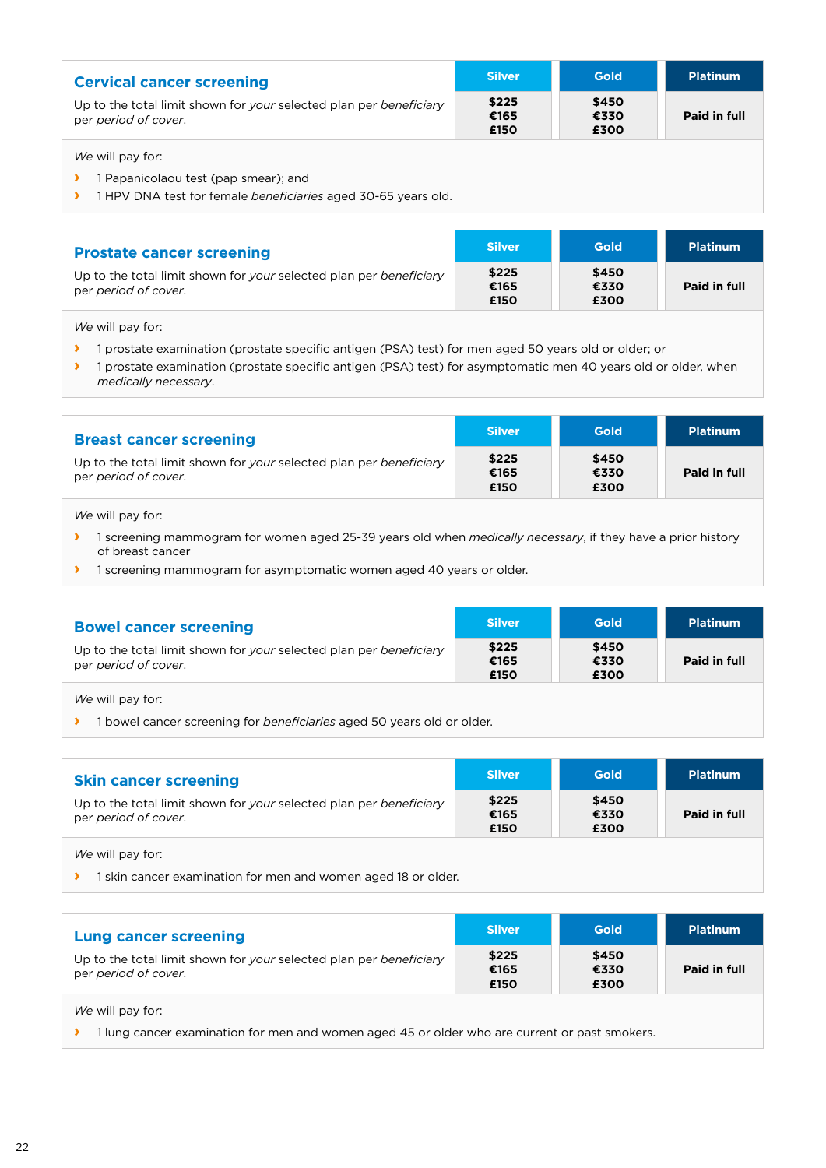| <b>Cervical cancer screening</b>                                                           | <b>Silver</b>         | <b>Gold</b>           | <b>Platinum</b> |
|--------------------------------------------------------------------------------------------|-----------------------|-----------------------|-----------------|
| Up to the total limit shown for your selected plan per beneficiary<br>per period of cover. | \$225<br>€165<br>£150 | \$450<br>€330<br>£300 | Paid in full    |
| We will pay for:                                                                           |                       |                       |                 |

**›** 1 Papanicolaou test (pap smear); and

**›** 1 HPV DNA test for female *beneficiaries* aged 30-65 years old.

| <b>Prostate cancer screening</b>                                                           | <b>Silver</b>         | <b>Gold</b>           | <b>Platinum</b> |
|--------------------------------------------------------------------------------------------|-----------------------|-----------------------|-----------------|
| Up to the total limit shown for your selected plan per beneficiary<br>per period of cover. | \$225<br>€165<br>£150 | \$450<br>€330<br>£300 | Paid in full    |

*We* will pay for:

- **›** 1 prostate examination (prostate specific antigen (PSA) test) for men aged 50 years old or older; or
- **›** 1 prostate examination (prostate specific antigen (PSA) test) for asymptomatic men 40 years old or older, when *medically necessary*.

| <b>Breast cancer screening</b>                                                             | <b>Silver</b>         | <b>Gold</b>           | <b>Platinum</b> |
|--------------------------------------------------------------------------------------------|-----------------------|-----------------------|-----------------|
| Up to the total limit shown for your selected plan per beneficiary<br>per period of cover. | \$225<br>€165<br>£150 | \$450<br>€330<br>£300 | Paid in full    |

*We* will pay for:

- **›** 1 screening mammogram for women aged 25-39 years old when *medically necessary*, if they have a prior history of breast cancer
- **›** 1 screening mammogram for asymptomatic women aged 40 years or older.

| <b>Bowel cancer screening</b>                                                              | <b>Silver</b>         | <b>Gold</b>           | <b>Platinum</b> |
|--------------------------------------------------------------------------------------------|-----------------------|-----------------------|-----------------|
| Up to the total limit shown for your selected plan per beneficiary<br>per period of cover. | \$225<br>€165<br>£150 | \$450<br>€330<br>£300 | Paid in full    |
| We will pay for:                                                                           |                       |                       |                 |

**›** 1 bowel cancer screening for *beneficiaries* aged 50 years old or older.

| <b>Skin cancer screening</b>                                                               | <b>Silver</b>         | Gold                  | <b>Platinum</b> |
|--------------------------------------------------------------------------------------------|-----------------------|-----------------------|-----------------|
| Up to the total limit shown for your selected plan per beneficiary<br>per period of cover. | \$225<br>€165<br>£150 | \$450<br>€330<br>£300 | Paid in full    |

*We* will pay for:

**›** 1 skin cancer examination for men and women aged 18 or older.

| <b>Lung cancer screening</b>                                                               | <b>Silver</b>         | <b>Gold</b>           | <b>Platinum</b> |
|--------------------------------------------------------------------------------------------|-----------------------|-----------------------|-----------------|
| Up to the total limit shown for your selected plan per beneficiary<br>per period of cover. | \$225<br>€165<br>£150 | \$450<br>€330<br>£300 | Paid in full    |
| We will pay for:                                                                           |                       |                       |                 |

 $\blacktriangleright$  1 lung cancer examination for men and women aged 45 or older who are current or past smokers.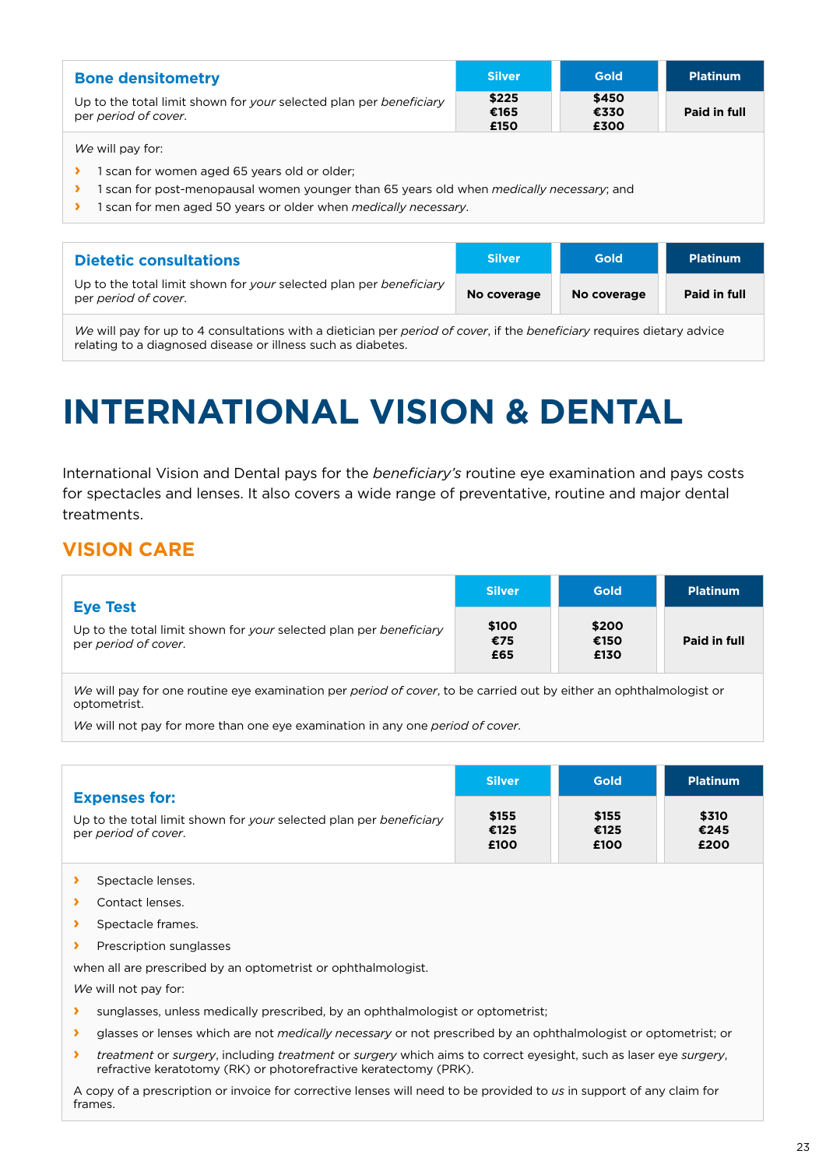| <b>Bone densitometry</b>                                                                   | <b>Silver</b>         | <b>Gold</b>           | <b>Platinum</b> |
|--------------------------------------------------------------------------------------------|-----------------------|-----------------------|-----------------|
| Up to the total limit shown for your selected plan per beneficiary<br>per period of cover. | \$225<br>€165<br>£150 | \$450<br>€330<br>£300 | Paid in full    |

*We* will pay for:

- **›** 1 scan for women aged 65 years old or older;
- **›** 1 scan for post-menopausal women younger than 65 years old when *medically necessary*; and
- **›** 1 scan for men aged 50 years or older when *medically necessary*.

| <b>Dietetic consultations</b>                                                              | <b>Silver</b> | Gold        | <b>Platinum</b> |
|--------------------------------------------------------------------------------------------|---------------|-------------|-----------------|
| Up to the total limit shown for your selected plan per beneficiary<br>per period of cover. | No coverage   | No coverage | Paid in full    |

*We* will pay for up to 4 consultations with a dietician per *period of cover*, if the *beneficiary* requires dietary advice relating to a diagnosed disease or illness such as diabetes.

# **INTERNATIONAL VISION & DENTAL**

International Vision and Dental pays for the *beneficiary's* routine eye examination and pays costs for spectacles and lenses. It also covers a wide range of preventative, routine and major dental treatments.

## **VISION CARE**

| <b>Eye Test</b>                                                                            | <b>Silver</b>       | Gold                  | <b>Platinum</b> |
|--------------------------------------------------------------------------------------------|---------------------|-----------------------|-----------------|
| Up to the total limit shown for your selected plan per beneficiary<br>per period of cover. | \$100<br>€75<br>£65 | \$200<br>€150<br>£130 | Paid in full    |

*We* will pay for one routine eye examination per *period of cover*, to be carried out by either an ophthalmologist or optometrist.

*We* will not pay for more than one eye examination in any one *period of cover*.

| <b>Expenses for:</b>                                                                       | <b>Silver</b>         | Gold                  | <b>Platinum</b>       |
|--------------------------------------------------------------------------------------------|-----------------------|-----------------------|-----------------------|
| Up to the total limit shown for your selected plan per beneficiary<br>per period of cover. | \$155<br>€125<br>£100 | \$155<br>€125<br>£100 | \$310<br>€245<br>£200 |

- **›** Spectacle lenses.
- **›** Contact lenses.
- **›** Spectacle frames.
- **›** Prescription sunglasses

when all are prescribed by an optometrist or ophthalmologist.

*We* will not pay for:

- **›** sunglasses, unless medically prescribed, by an ophthalmologist or optometrist;
- **›** glasses or lenses which are not *medically necessary* or not prescribed by an ophthalmologist or optometrist; or
- **›** *treatment* or *surgery*, including *treatment* or *surgery* which aims to correct eyesight, such as laser eye *surgery*, refractive keratotomy (RK) or photorefractive keratectomy (PRK).

A copy of a prescription or invoice for corrective lenses will need to be provided to *us* in support of any claim for frames.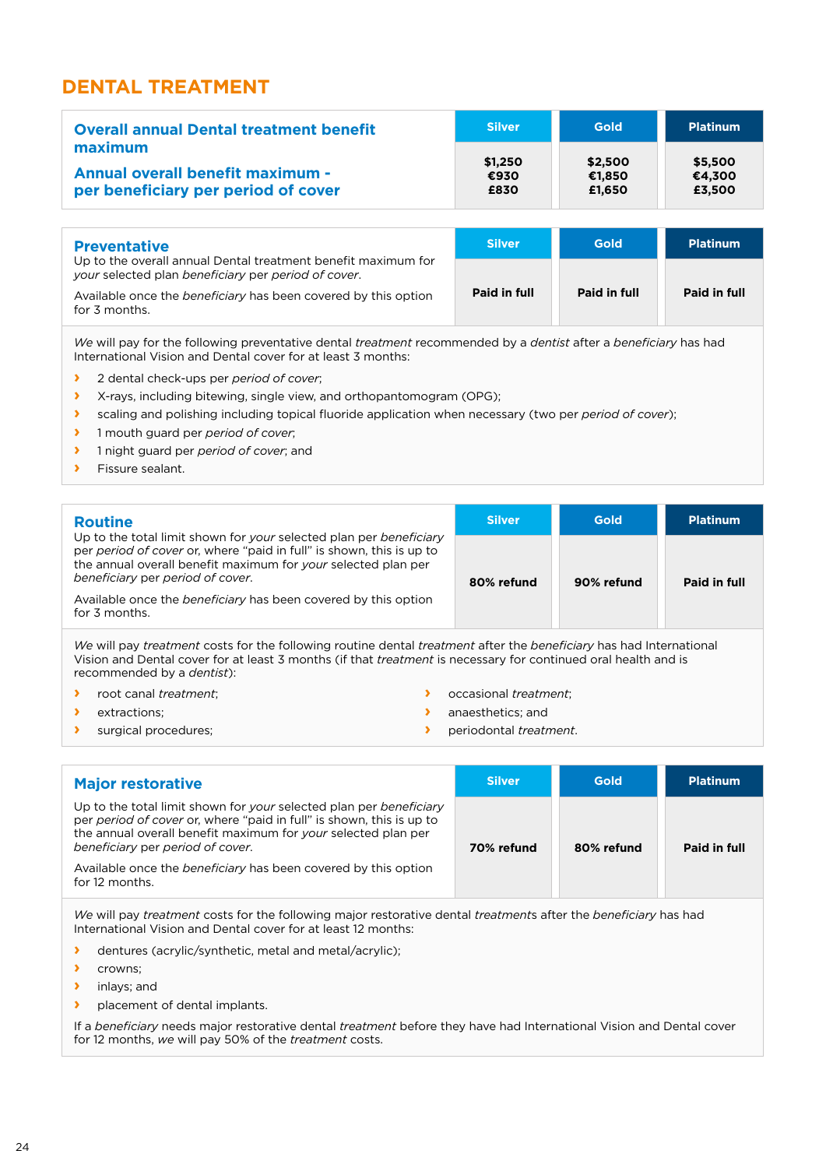## **DENTAL TREATMENT**

| <b>Overall annual Dental treatment benefit</b> | <b>Silver</b> | <b>Gold</b> | <b>Platinum</b> |
|------------------------------------------------|---------------|-------------|-----------------|
| maximum                                        | \$1,250       | \$2,500     | \$5,500         |
| <b>Annual overall benefit maximum -</b>        | €930          | €1,850      | €4,300          |
| per beneficiary per period of cover            | £830          | £1.650      | £3,500          |

| <b>Preventative</b>                                                                                                  | <b>Silver</b> | <b>Gold</b>  | <b>Platinum</b> |
|----------------------------------------------------------------------------------------------------------------------|---------------|--------------|-----------------|
| Up to the overall annual Dental treatment benefit maximum for<br>your selected plan beneficiary per period of cover. |               |              |                 |
| Available once the <i>beneficiary</i> has been covered by this option<br>for 3 months.                               | Paid in full  | Paid in full | Paid in full    |

*We* will pay for the following preventative dental *treatment* recommended by a *dentist* after a *beneficiary* has had International Vision and Dental cover for at least 3 months:

- **›** 2 dental check-ups per *period of cover*;
- **›** X-rays, including bitewing, single view, and orthopantomogram (OPG);
- **›** scaling and polishing including topical fluoride application when necessary (two per *period of cover*);
- **›** 1 mouth guard per *period of cover*;
- **›** 1 night guard per *period of cover*; and
- **›** Fissure sealant.

| <b>Routine</b>                                                                                                                                                                                                                                  | <b>Silver</b> | <b>Gold</b> | <b>Platinum</b> |
|-------------------------------------------------------------------------------------------------------------------------------------------------------------------------------------------------------------------------------------------------|---------------|-------------|-----------------|
| Up to the total limit shown for your selected plan per beneficiary<br>per period of cover or, where "paid in full" is shown, this is up to<br>the annual overall benefit maximum for your selected plan per<br>beneficiary per period of cover. | 80% refund    | 90% refund  | Paid in full    |
| Available once the beneficiary has been covered by this option<br>for 3 months.                                                                                                                                                                 |               |             |                 |

*We* will pay *treatment* costs for the following routine dental *treatment* after the *beneficiary* has had International Vision and Dental cover for at least 3 months (if that *treatment* is necessary for continued oral health and is recommended by a *dentist*):

- **›** root canal *treatment*;
- **›** extractions;
- **›** surgical procedures;
- **›** occasional *treatment*;
- **›** anaesthetics; and
- **›** periodontal *treatment*.
- **Major restorative**  Up to the total limit shown for *your* selected plan per *beneficiary* per *period of cover* or, where "paid in full" is shown, this is up to the annual overall benefit maximum for *your* selected plan per *beneficiary* per *period of cover*. Available once the *beneficiary* has been covered by this option for 12 months. **Silver Gold Platinum 70% refund 80% refund Paid in full**

*We* will pay *treatment* costs for the following major restorative dental *treatment*s after the *beneficiary* has had International Vision and Dental cover for at least 12 months:

- **›** dentures (acrylic/synthetic, metal and metal/acrylic);
- **›** crowns;
- **›** inlays; and
- **›** placement of dental implants.

If a *beneficiary* needs major restorative dental *treatment* before they have had International Vision and Dental cover for 12 months, *we* will pay 50% of the *treatment* costs.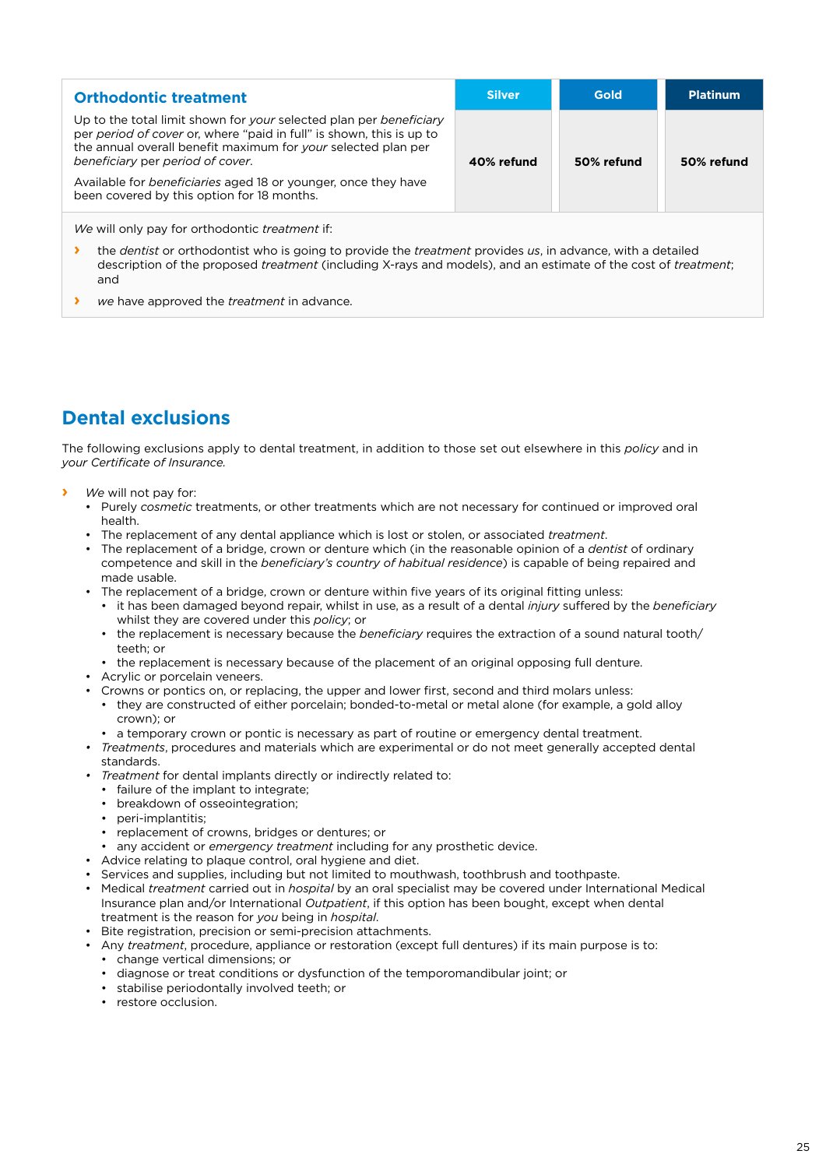| <b>Orthodontic treatment</b>                                                                                                                                                                                                                                                                                             | <b>Silver</b> | Gold       | <b>Platinum</b> |
|--------------------------------------------------------------------------------------------------------------------------------------------------------------------------------------------------------------------------------------------------------------------------------------------------------------------------|---------------|------------|-----------------|
| Up to the total limit shown for your selected plan per beneficiary<br>per period of cover or, where "paid in full" is shown, this is up to<br>the annual overall benefit maximum for your selected plan per<br>beneficiary per period of cover.<br>Available for <i>beneficiaries</i> aged 18 or younger, once they have | 40% refund    | 50% refund | 50% refund      |
| been covered by this option for 18 months.                                                                                                                                                                                                                                                                               |               |            |                 |

*We* will only pay for orthodontic *treatment* if:

- **›** the *dentist* or orthodontist who is going to provide the *treatment* provides *us*, in advance, with a detailed description of the proposed *treatment* (including X-rays and models), and an estimate of the cost of *treatment*; and
- **›** *we* have approved the *treatment* in advance.

## **Dental exclusions**

The following exclusions apply to dental treatment, in addition to those set out elsewhere in this *policy* and in *your Certificate of Insurance.*

- **›** *We* will not pay for:
	- Purely *cosmetic* treatments, or other treatments which are not necessary for continued or improved oral health.
	- The replacement of any dental appliance which is lost or stolen, or associated *treatment*.
	- The replacement of a bridge, crown or denture which (in the reasonable opinion of a *dentist* of ordinary competence and skill in the *beneficiary's country of habitual residence*) is capable of being repaired and made usable.
	- The replacement of a bridge, crown or denture within five years of its original fitting unless:
		- it has been damaged beyond repair, whilst in use, as a result of a dental *injury* suffered by the *beneficiary* whilst they are covered under this *policy*; or
		- the replacement is necessary because the *beneficiary* requires the extraction of a sound natural tooth/ teeth; or
		- the replacement is necessary because of the placement of an original opposing full denture.
	- Acrylic or porcelain veneers.
	- Crowns or pontics on, or replacing, the upper and lower first, second and third molars unless:
		- they are constructed of either porcelain; bonded-to-metal or metal alone (for example, a gold alloy crown); or
		- a temporary crown or pontic is necessary as part of routine or emergency dental treatment.
	- *• Treatments*, procedures and materials which are experimental or do not meet generally accepted dental standards.
	- *• Treatment* for dental implants directly or indirectly related to:
	- failure of the implant to integrate;
	- breakdown of osseointegration;
	- peri-implantitis;
	- replacement of crowns, bridges or dentures; or
	- any accident or *emergency treatment* including for any prosthetic device.
	- Advice relating to plaque control, oral hygiene and diet.
	- Services and supplies, including but not limited to mouthwash, toothbrush and toothpaste.
	- Medical *treatment* carried out in *hospital* by an oral specialist may be covered under International Medical Insurance plan and/or International *Outpatient*, if this option has been bought, except when dental treatment is the reason for *you* being in *hospital*.
	- Bite registration, precision or semi-precision attachments.
	- Any *treatment*, procedure, appliance or restoration (except full dentures) if its main purpose is to:
		- change vertical dimensions; or
		- diagnose or treat conditions or dysfunction of the temporomandibular joint; or
		- stabilise periodontally involved teeth; or
		- restore occlusion.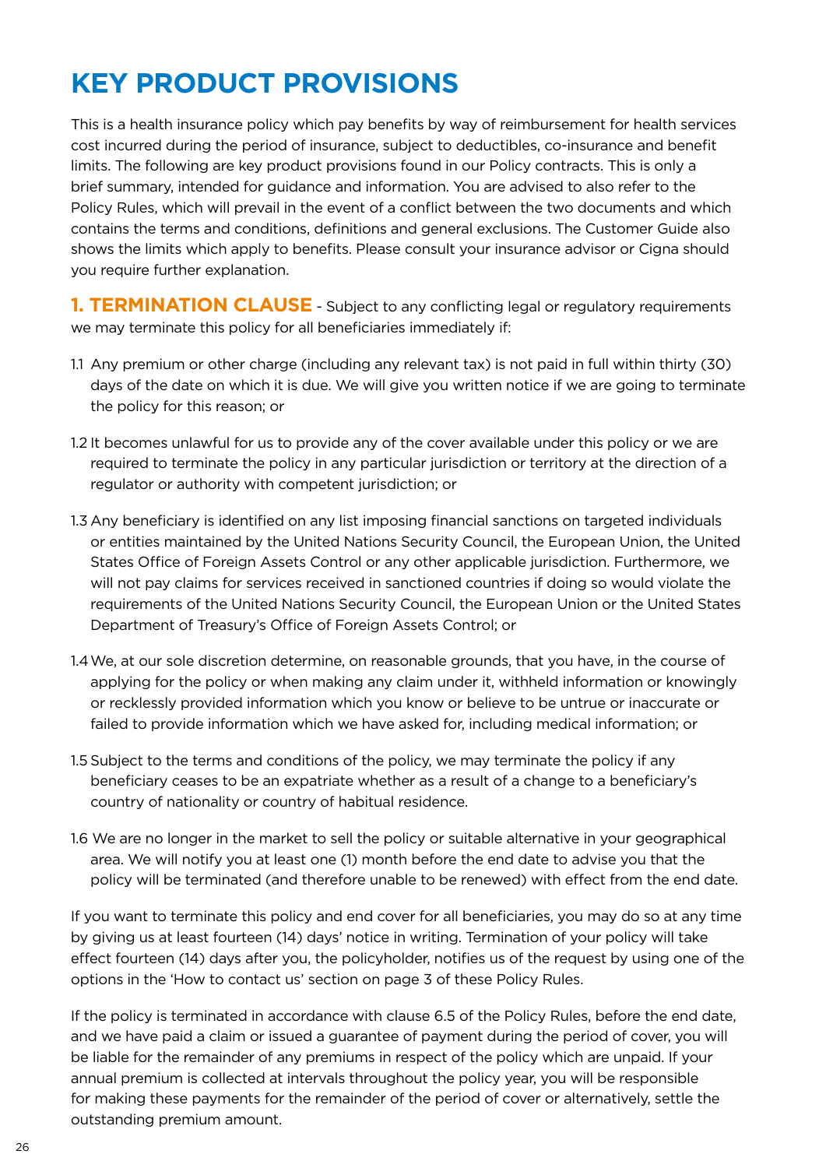# **KEY PRODUCT PROVISIONS**

This is a health insurance policy which pay benefits by way of reimbursement for health services cost incurred during the period of insurance, subject to deductibles, co-insurance and benefit limits. The following are key product provisions found in our Policy contracts. This is only a brief summary, intended for guidance and information. You are advised to also refer to the Policy Rules, which will prevail in the event of a conflict between the two documents and which contains the terms and conditions, definitions and general exclusions. The Customer Guide also shows the limits which apply to benefits. Please consult your insurance advisor or Cigna should you require further explanation.

**1. TERMINATION CLAUSE** - Subject to any conflicting legal or regulatory requirements we may terminate this policy for all beneficiaries immediately if:

- 1.1 Any premium or other charge (including any relevant tax) is not paid in full within thirty (30) days of the date on which it is due. We will give you written notice if we are going to terminate the policy for this reason; or
- 1.2 It becomes unlawful for us to provide any of the cover available under this policy or we are required to terminate the policy in any particular jurisdiction or territory at the direction of a regulator or authority with competent jurisdiction; or
- 1.3 Any beneficiary is identified on any list imposing financial sanctions on targeted individuals or entities maintained by the United Nations Security Council, the European Union, the United States Office of Foreign Assets Control or any other applicable jurisdiction. Furthermore, we will not pay claims for services received in sanctioned countries if doing so would violate the requirements of the United Nations Security Council, the European Union or the United States Department of Treasury's Office of Foreign Assets Control; or
- 1.4We, at our sole discretion determine, on reasonable grounds, that you have, in the course of applying for the policy or when making any claim under it, withheld information or knowingly or recklessly provided information which you know or believe to be untrue or inaccurate or failed to provide information which we have asked for, including medical information; or
- 1.5 Subject to the terms and conditions of the policy, we may terminate the policy if any beneficiary ceases to be an expatriate whether as a result of a change to a beneficiary's country of nationality or country of habitual residence.
- 1.6 We are no longer in the market to sell the policy or suitable alternative in your geographical area. We will notify you at least one (1) month before the end date to advise you that the policy will be terminated (and therefore unable to be renewed) with effect from the end date.

If you want to terminate this policy and end cover for all beneficiaries, you may do so at any time by giving us at least fourteen (14) days' notice in writing. Termination of your policy will take effect fourteen (14) days after you, the policyholder, notifies us of the request by using one of the options in the 'How to contact us' section on page 3 of these Policy Rules.

If the policy is terminated in accordance with clause 6.5 of the Policy Rules, before the end date, and we have paid a claim or issued a guarantee of payment during the period of cover, you will be liable for the remainder of any premiums in respect of the policy which are unpaid. If your annual premium is collected at intervals throughout the policy year, you will be responsible for making these payments for the remainder of the period of cover or alternatively, settle the outstanding premium amount.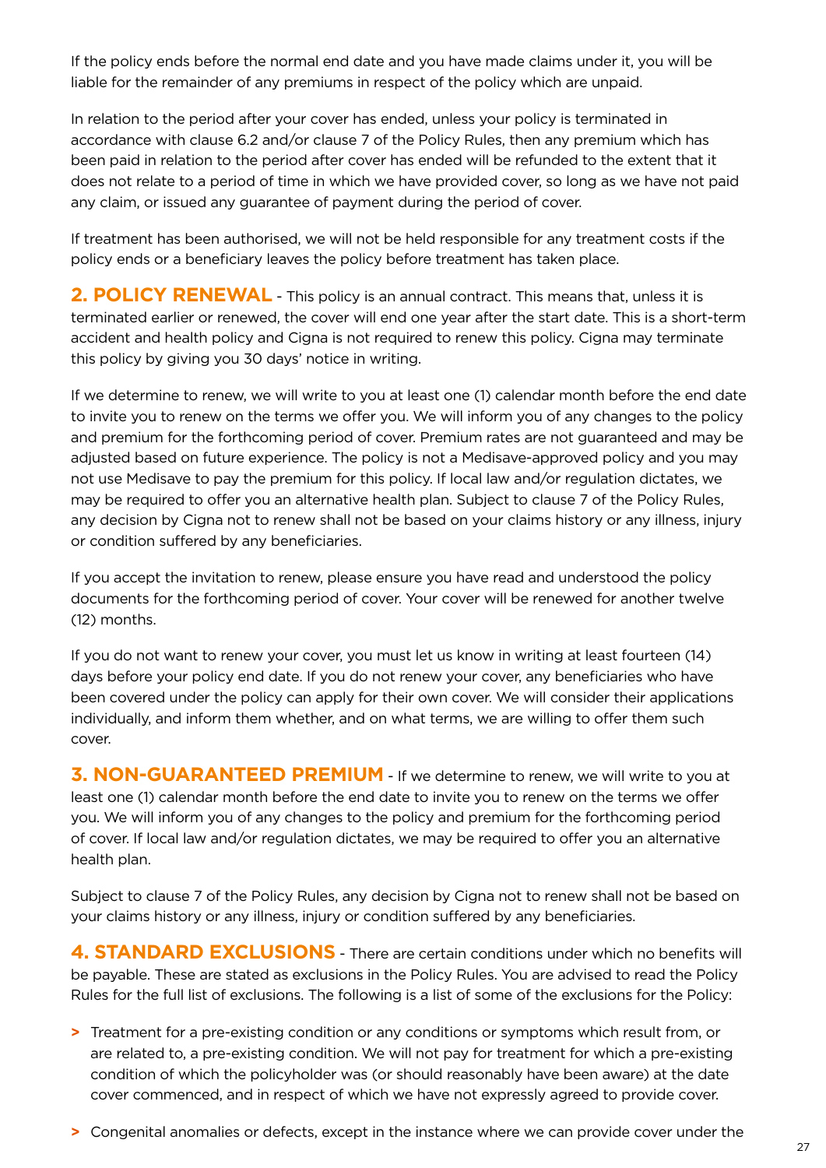If the policy ends before the normal end date and you have made claims under it, you will be liable for the remainder of any premiums in respect of the policy which are unpaid.

In relation to the period after your cover has ended, unless your policy is terminated in accordance with clause 6.2 and/or clause 7 of the Policy Rules, then any premium which has been paid in relation to the period after cover has ended will be refunded to the extent that it does not relate to a period of time in which we have provided cover, so long as we have not paid any claim, or issued any guarantee of payment during the period of cover.

If treatment has been authorised, we will not be held responsible for any treatment costs if the policy ends or a beneficiary leaves the policy before treatment has taken place.

2. POLICY RENEWAL - This policy is an annual contract. This means that, unless it is terminated earlier or renewed, the cover will end one year after the start date. This is a short-term accident and health policy and Cigna is not required to renew this policy. Cigna may terminate this policy by giving you 30 days' notice in writing.

If we determine to renew, we will write to you at least one (1) calendar month before the end date to invite you to renew on the terms we offer you. We will inform you of any changes to the policy and premium for the forthcoming period of cover. Premium rates are not guaranteed and may be adjusted based on future experience. The policy is not a Medisave-approved policy and you may not use Medisave to pay the premium for this policy. If local law and/or regulation dictates, we may be required to offer you an alternative health plan. Subject to clause 7 of the Policy Rules, any decision by Cigna not to renew shall not be based on your claims history or any illness, injury or condition suffered by any beneficiaries.

If you accept the invitation to renew, please ensure you have read and understood the policy documents for the forthcoming period of cover. Your cover will be renewed for another twelve (12) months.

If you do not want to renew your cover, you must let us know in writing at least fourteen (14) days before your policy end date. If you do not renew your cover, any beneficiaries who have been covered under the policy can apply for their own cover. We will consider their applications individually, and inform them whether, and on what terms, we are willing to offer them such cover.

**3. NON-GUARANTEED PREMIUM** - If we determine to renew, we will write to you at least one (1) calendar month before the end date to invite you to renew on the terms we offer you. We will inform you of any changes to the policy and premium for the forthcoming period of cover. If local law and/or regulation dictates, we may be required to offer you an alternative health plan.

Subject to clause 7 of the Policy Rules, any decision by Cigna not to renew shall not be based on your claims history or any illness, injury or condition suffered by any beneficiaries.

**4. STANDARD EXCLUSIONS** - There are certain conditions under which no benefits will be payable. These are stated as exclusions in the Policy Rules. You are advised to read the Policy Rules for the full list of exclusions. The following is a list of some of the exclusions for the Policy:

**>** Treatment for a pre-existing condition or any conditions or symptoms which result from, or are related to, a pre-existing condition. We will not pay for treatment for which a pre-existing condition of which the policyholder was (or should reasonably have been aware) at the date cover commenced, and in respect of which we have not expressly agreed to provide cover.

**>** Congenital anomalies or defects, except in the instance where we can provide cover under the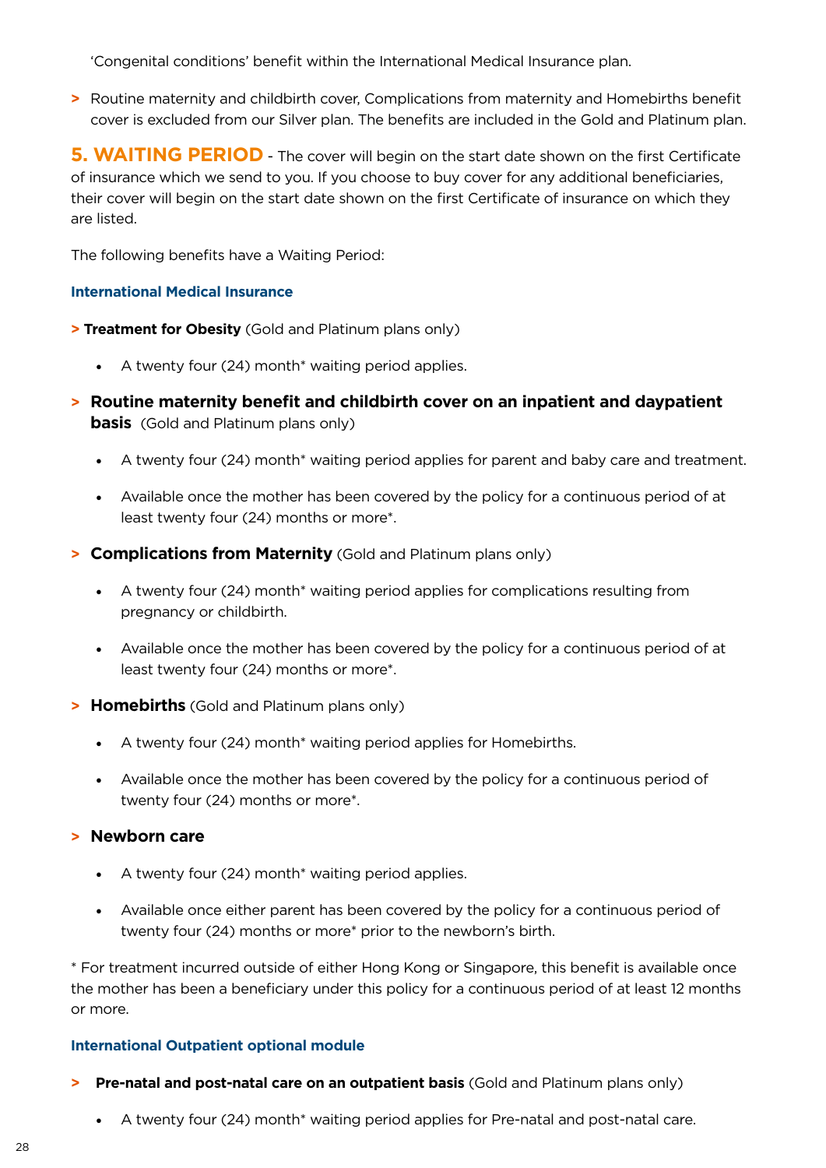'Congenital conditions' benefit within the International Medical Insurance plan.

**>** Routine maternity and childbirth cover, Complications from maternity and Homebirths benefit cover is excluded from our Silver plan. The benefits are included in the Gold and Platinum plan.

**5. WAITING PERIOD** - The cover will begin on the start date shown on the first Certificate of insurance which we send to you. If you choose to buy cover for any additional beneficiaries, their cover will begin on the start date shown on the first Certificate of insurance on which they are listed.

The following benefits have a Waiting Period:

### **International Medical Insurance**

**> Treatment for Obesity** (Gold and Platinum plans only)

- A twenty four (24) month<sup>\*</sup> waiting period applies.
- **> Routine maternity benefit and childbirth cover on an inpatient and daypatient basis** (Gold and Platinum plans only)
	- A twenty four (24) month\* waiting period applies for parent and baby care and treatment.
	- Available once the mother has been covered by the policy for a continuous period of at least twenty four (24) months or more\*.
- **> Complications from Maternity** (Gold and Platinum plans only)
	- A twenty four (24) month\* waiting period applies for complications resulting from pregnancy or childbirth.
	- Available once the mother has been covered by the policy for a continuous period of at least twenty four (24) months or more\*.
- **> Homebirths** (Gold and Platinum plans only)
	- A twenty four (24) month<sup>\*</sup> waiting period applies for Homebirths.
	- Available once the mother has been covered by the policy for a continuous period of twenty four (24) months or more\*.

### **> Newborn care**

- A twenty four (24) month<sup>\*</sup> waiting period applies.
- Available once either parent has been covered by the policy for a continuous period of twenty four (24) months or more\* prior to the newborn's birth.

\* For treatment incurred outside of either Hong Kong or Singapore, this benefit is available once the mother has been a beneficiary under this policy for a continuous period of at least 12 months or more.

### **International Outpatient optional module**

- **> Pre-natal and post-natal care on an outpatient basis** (Gold and Platinum plans only)
	- A twenty four (24) month\* waiting period applies for Pre-natal and post-natal care.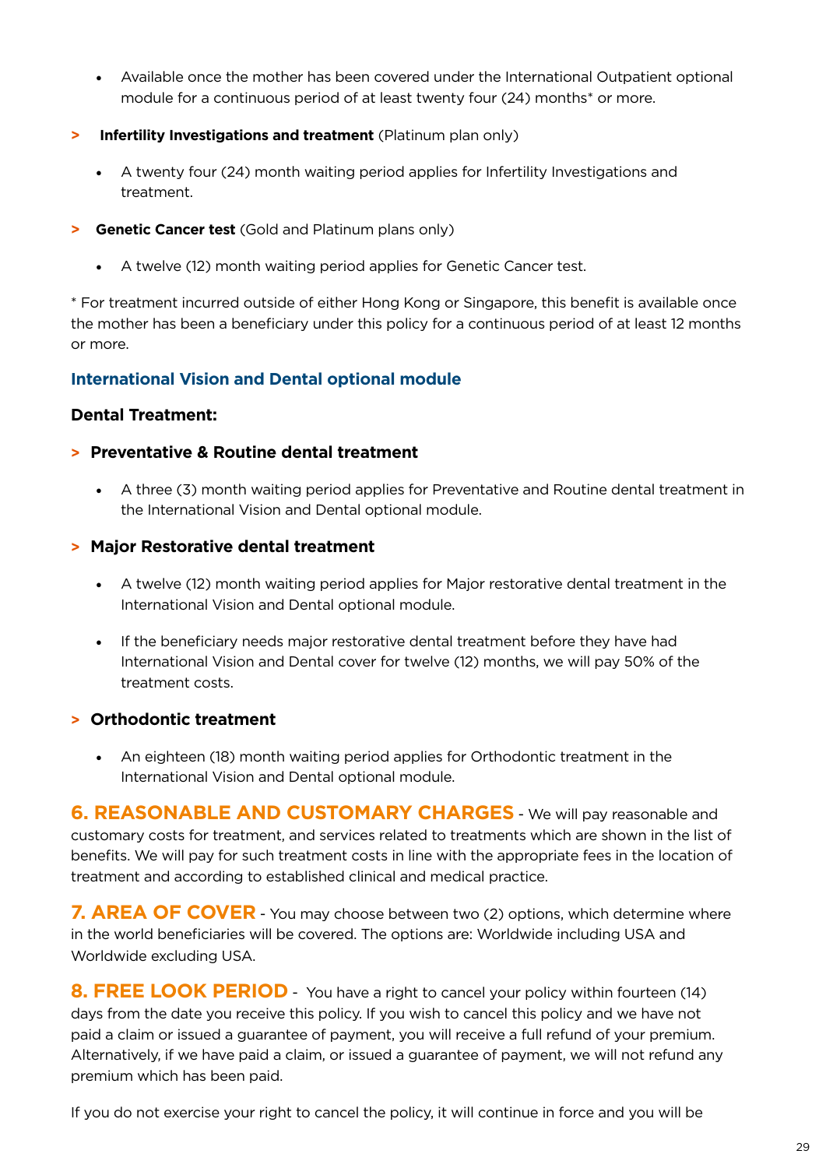- Available once the mother has been covered under the International Outpatient optional module for a continuous period of at least twenty four (24) months\* or more.
- **> Infertility Investigations and treatment** (Platinum plan only)
	- A twenty four (24) month waiting period applies for Infertility Investigations and treatment.
- **> Genetic Cancer test** (Gold and Platinum plans only)
	- A twelve (12) month waiting period applies for Genetic Cancer test.

\* For treatment incurred outside of either Hong Kong or Singapore, this benefit is available once the mother has been a beneficiary under this policy for a continuous period of at least 12 months or more.

## **International Vision and Dental optional module**

### **Dental Treatment:**

### **> Preventative & Routine dental treatment**

• A three (3) month waiting period applies for Preventative and Routine dental treatment in the International Vision and Dental optional module.

### **> Major Restorative dental treatment**

- A twelve (12) month waiting period applies for Major restorative dental treatment in the International Vision and Dental optional module.
- If the beneficiary needs major restorative dental treatment before they have had International Vision and Dental cover for twelve (12) months, we will pay 50% of the treatment costs.

## **> Orthodontic treatment**

• An eighteen (18) month waiting period applies for Orthodontic treatment in the International Vision and Dental optional module.

**6. REASONABLE AND CUSTOMARY CHARGES** - We will pay reasonable and customary costs for treatment, and services related to treatments which are shown in the list of benefits. We will pay for such treatment costs in line with the appropriate fees in the location of treatment and according to established clinical and medical practice.

**7. AREA OF COVER** - You may choose between two (2) options, which determine where in the world beneficiaries will be covered. The options are: Worldwide including USA and Worldwide excluding USA.

**8. FREE LOOK PERIOD** You have a right to cancel your policy within fourteen (14) days from the date you receive this policy. If you wish to cancel this policy and we have not paid a claim or issued a guarantee of payment, you will receive a full refund of your premium. Alternatively, if we have paid a claim, or issued a guarantee of payment, we will not refund any premium which has been paid.

If you do not exercise your right to cancel the policy, it will continue in force and you will be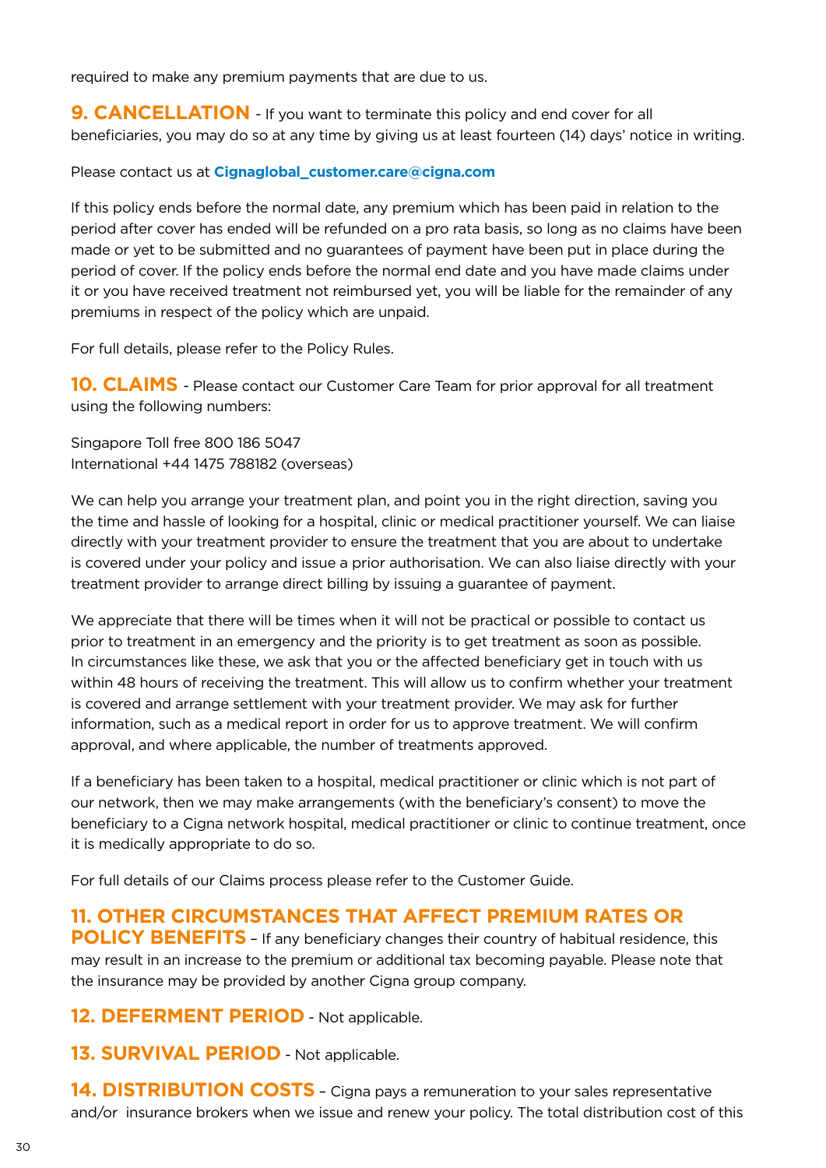required to make any premium payments that are due to us.

**9. CANCELLATION** - If you want to terminate this policy and end cover for all beneficiaries, you may do so at any time by giving us at least fourteen (14) days' notice in writing.

Please contact us at **Cignaglobal\_customer.care@cigna.com**

If this policy ends before the normal date, any premium which has been paid in relation to the period after cover has ended will be refunded on a pro rata basis, so long as no claims have been made or yet to be submitted and no guarantees of payment have been put in place during the period of cover. If the policy ends before the normal end date and you have made claims under it or you have received treatment not reimbursed yet, you will be liable for the remainder of any premiums in respect of the policy which are unpaid.

For full details, please refer to the Policy Rules.

**10. CLAIMS** - Please contact our Customer Care Team for prior approval for all treatment using the following numbers:

Singapore Toll free 800 186 5047 International +44 1475 788182 (overseas)

We can help you arrange your treatment plan, and point you in the right direction, saving you the time and hassle of looking for a hospital, clinic or medical practitioner yourself. We can liaise directly with your treatment provider to ensure the treatment that you are about to undertake is covered under your policy and issue a prior authorisation. We can also liaise directly with your treatment provider to arrange direct billing by issuing a guarantee of payment.

We appreciate that there will be times when it will not be practical or possible to contact us prior to treatment in an emergency and the priority is to get treatment as soon as possible. In circumstances like these, we ask that you or the affected beneficiary get in touch with us within 48 hours of receiving the treatment. This will allow us to confirm whether your treatment is covered and arrange settlement with your treatment provider. We may ask for further information, such as a medical report in order for us to approve treatment. We will confirm approval, and where applicable, the number of treatments approved.

If a beneficiary has been taken to a hospital, medical practitioner or clinic which is not part of our network, then we may make arrangements (with the beneficiary's consent) to move the beneficiary to a Cigna network hospital, medical practitioner or clinic to continue treatment, once it is medically appropriate to do so.

For full details of our Claims process please refer to the Customer Guide.

## **11. OTHER CIRCUMSTANCES THAT AFFECT PREMIUM RATES OR**

**POLICY BENEFITS** - If any beneficiary changes their country of habitual residence, this may result in an increase to the premium or additional tax becoming payable. Please note that the insurance may be provided by another Cigna group company.

**12. DEFERMENT PERIOD** - Not applicable.

**13. SURVIVAL PERIOD** - Not applicable.

**14. DISTRIBUTION COSTS** - Cigna pays a remuneration to your sales representative and/or insurance brokers when we issue and renew your policy. The total distribution cost of this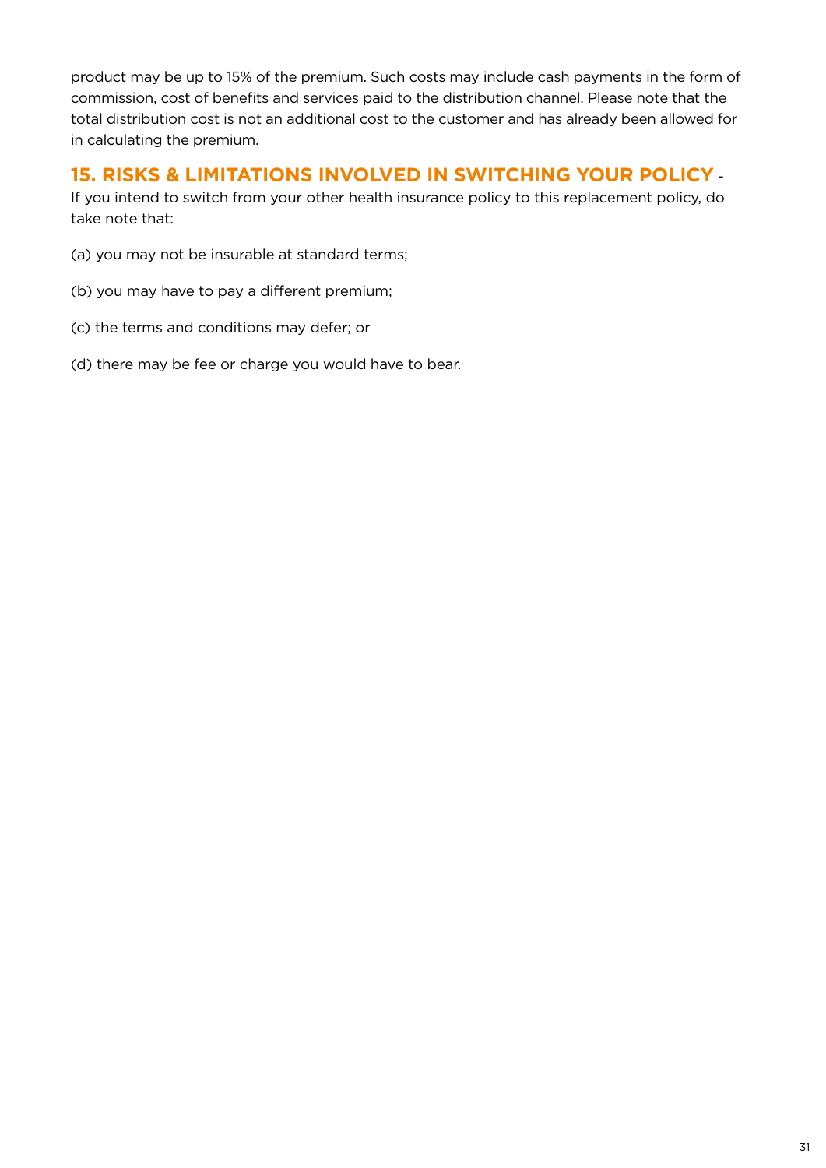product may be up to 15% of the premium. Such costs may include cash payments in the form of commission, cost of benefits and services paid to the distribution channel. Please note that the total distribution cost is not an additional cost to the customer and has already been allowed for in calculating the premium.

## **15. RISKS & LIMITATIONS INVOLVED IN SWITCHING YOUR POLICY** -

If you intend to switch from your other health insurance policy to this replacement policy, do take note that:

- (a) you may not be insurable at standard terms;
- (b) you may have to pay a different premium;
- (c) the terms and conditions may defer; or
- (d) there may be fee or charge you would have to bear.